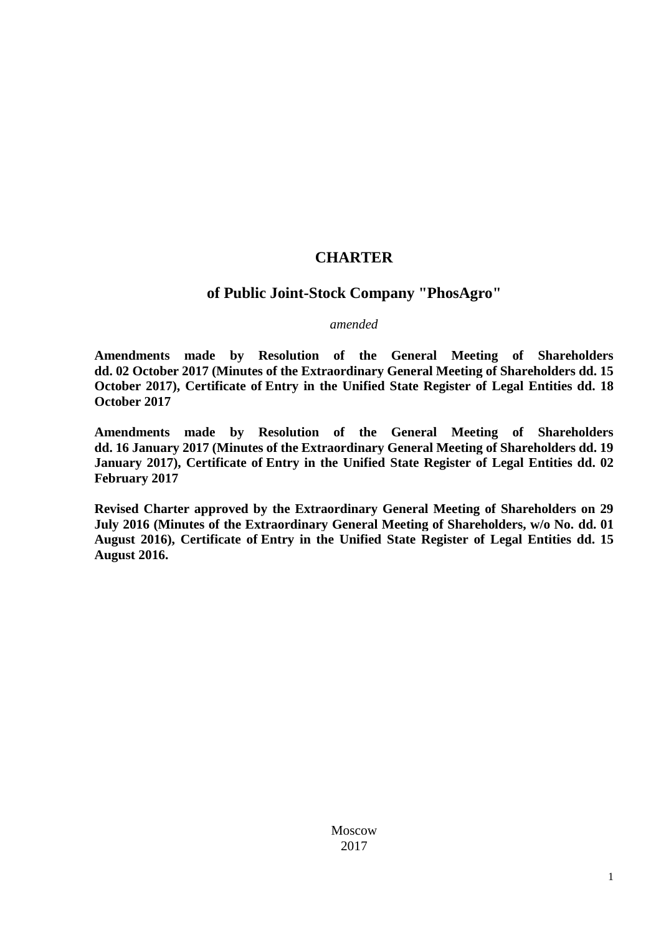# **CHARTER**

# **of Public Joint-Stock Company "PhosAgro"**

#### *amended*

**Amendments made by Resolution of the General Meeting of Shareholders dd. 02 October 2017 (Minutes of the Extraordinary General Meeting of Shareholders dd. 15 October 2017), Certificate of Entry in the Unified State Register of Legal Entities dd. 18 October 2017** 

**Amendments made by Resolution of the General Meeting of Shareholders dd. 16 January 2017 (Minutes of the Extraordinary General Meeting of Shareholders dd. 19 January 2017), Certificate of Entry in the Unified State Register of Legal Entities dd. 02 February 2017** 

**Revised Charter approved by the Extraordinary General Meeting of Shareholders on 29 July 2016 (Minutes of the Extraordinary General Meeting of Shareholders, w/o No. dd. 01 August 2016), Certificate of Entry in the Unified State Register of Legal Entities dd. 15 August 2016.** 

> Moscow 2017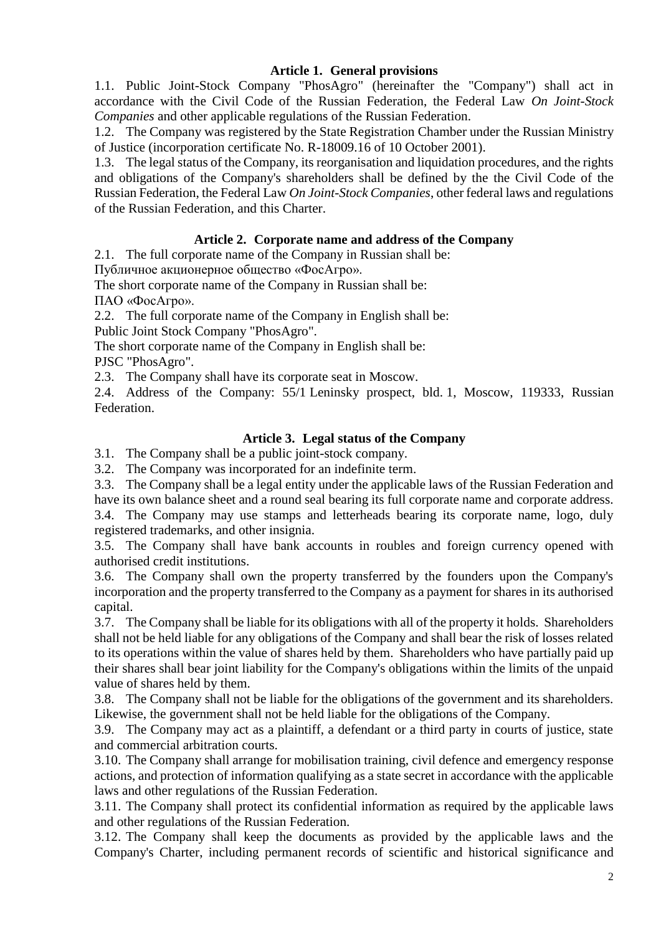## **Article 1. General provisions**

1.1. Public Joint-Stock Company "PhosAgro" (hereinafter the "Company") shall act in accordance with the Civil Code of the Russian Federation, the Federal Law *On Joint-Stock Companies* and other applicable regulations of the Russian Federation.

1.2. The Company was registered by the State Registration Chamber under the Russian Ministry of Justice (incorporation certificate No. R-18009.16 of 10 October 2001).

1.3. The legal status of the Company, its reorganisation and liquidation procedures, and the rights and obligations of the Company's shareholders shall be defined by the the Civil Code of the Russian Federation, the Federal Law *On Joint-Stock Companies*, other federal laws and regulations of the Russian Federation, and this Charter.

### **Article 2. Corporate name and address of the Company**

2.1. The full corporate name of the Company in Russian shall be:

Публичное акционерное общество «ФосАгро».

The short corporate name of the Company in Russian shall be: ПАО «ФосАгро».

2.2. The full corporate name of the Company in English shall be:

Public Joint Stock Company "PhosAgro".

The short corporate name of the Company in English shall be:

PJSC "PhosAgro".

2.3. The Company shall have its corporate seat in Moscow.

2.4. Address of the Company: 55/1 Leninsky prospect, bld. 1, Moscow, 119333, Russian Federation.

# **Article 3. Legal status of the Company**

3.1. The Company shall be a public joint-stock company.

3.2. The Company was incorporated for an indefinite term.

3.3. The Company shall be a legal entity under the applicable laws of the Russian Federation and have its own balance sheet and a round seal bearing its full corporate name and corporate address.

3.4. The Company may use stamps and letterheads bearing its corporate name, logo, duly registered trademarks, and other insignia.

3.5. The Company shall have bank accounts in roubles and foreign currency opened with authorised credit institutions.

3.6. The Company shall own the property transferred by the founders upon the Company's incorporation and the property transferred to the Company as a payment for shares in its authorised capital.

3.7. The Company shall be liable for its obligations with all of the property it holds. Shareholders shall not be held liable for any obligations of the Company and shall bear the risk of losses related to its operations within the value of shares held by them. Shareholders who have partially paid up their shares shall bear joint liability for the Company's obligations within the limits of the unpaid value of shares held by them.

3.8. The Company shall not be liable for the obligations of the government and its shareholders. Likewise, the government shall not be held liable for the obligations of the Company.

3.9. The Company may act as a plaintiff, a defendant or a third party in courts of justice, state and commercial arbitration courts.

3.10. The Company shall arrange for mobilisation training, civil defence and emergency response actions, and protection of information qualifying as a state secret in accordance with the applicable laws and other regulations of the Russian Federation.

3.11. The Company shall protect its confidential information as required by the applicable laws and other regulations of the Russian Federation.

3.12. The Company shall keep the documents as provided by the applicable laws and the Company's Charter, including permanent records of scientific and historical significance and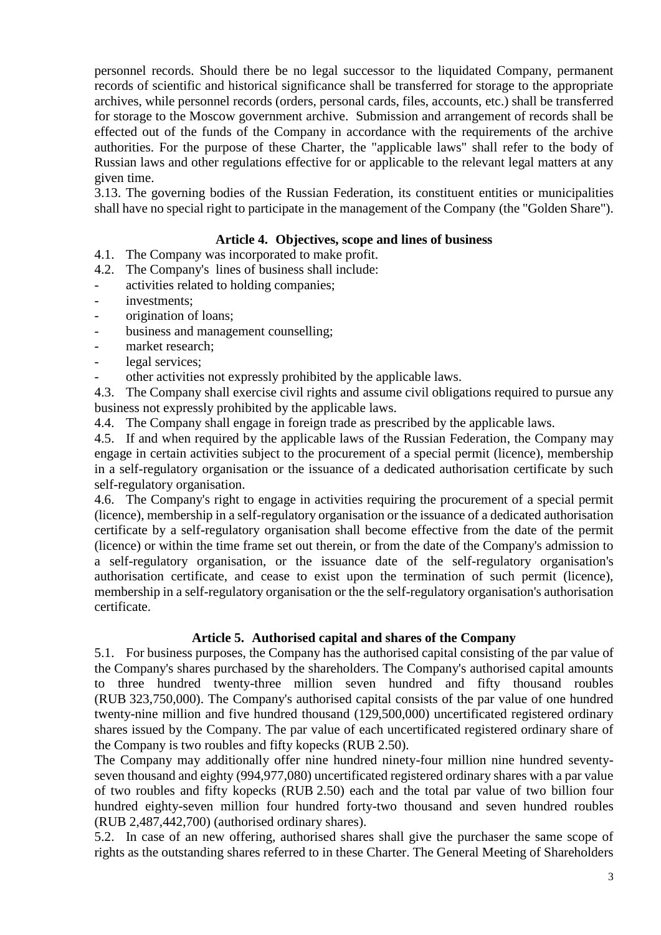personnel records. Should there be no legal successor to the liquidated Company, permanent records of scientific and historical significance shall be transferred for storage to the appropriate archives, while personnel records (orders, personal cards, files, accounts, etc.) shall be transferred for storage to the Moscow government archive. Submission and arrangement of records shall be effected out of the funds of the Company in accordance with the requirements of the archive authorities. For the purpose of these Charter, the "applicable laws" shall refer to the body of Russian laws and other regulations effective for or applicable to the relevant legal matters at any given time.

3.13. The governing bodies of the Russian Federation, its constituent entities or municipalities shall have no special right to participate in the management of the Company (the "Golden Share").

## **Article 4. Objectives, scope and lines of business**

- 4.1. The Company was incorporated to make profit.
- 4.2. The Company's lines of business shall include:
- activities related to holding companies;
- investments;
- origination of loans;
- business and management counselling;
- market research:
- legal services:
- other activities not expressly prohibited by the applicable laws.

4.3. The Company shall exercise civil rights and assume civil obligations required to pursue any business not expressly prohibited by the applicable laws.

4.4. The Company shall engage in foreign trade as prescribed by the applicable laws.

4.5. If and when required by the applicable laws of the Russian Federation, the Company may engage in certain activities subject to the procurement of a special permit (licence), membership in a self-regulatory organisation or the issuance of a dedicated authorisation certificate by such self-regulatory organisation.

4.6. The Company's right to engage in activities requiring the procurement of a special permit (licence), membership in a self-regulatory organisation or the issuance of a dedicated authorisation certificate by a self-regulatory organisation shall become effective from the date of the permit (licence) or within the time frame set out therein, or from the date of the Company's admission to a self-regulatory organisation, or the issuance date of the self-regulatory organisation's authorisation certificate, and cease to exist upon the termination of such permit (licence), membership in a self-regulatory organisation or the the self-regulatory organisation's authorisation certificate.

#### **Article 5. Authorised capital and shares of the Company**

5.1. For business purposes, the Company has the authorised capital consisting of the par value of the Company's shares purchased by the shareholders. The Company's authorised capital amounts to three hundred twenty-three million seven hundred and fifty thousand roubles (RUB 323,750,000). The Company's authorised capital consists of the par value of one hundred twenty-nine million and five hundred thousand (129,500,000) uncertificated registered ordinary shares issued by the Company. The par value of each uncertificated registered ordinary share of the Company is two roubles and fifty kopecks (RUB 2.50).

The Company may additionally offer nine hundred ninety-four million nine hundred seventyseven thousand and eighty (994,977,080) uncertificated registered ordinary shares with a par value of two roubles and fifty kopecks (RUB 2.50) each and the total par value of two billion four hundred eighty-seven million four hundred forty-two thousand and seven hundred roubles (RUB 2,487,442,700) (authorised ordinary shares).

5.2. In case of an new offering, authorised shares shall give the purchaser the same scope of rights as the outstanding shares referred to in these Charter. The General Meeting of Shareholders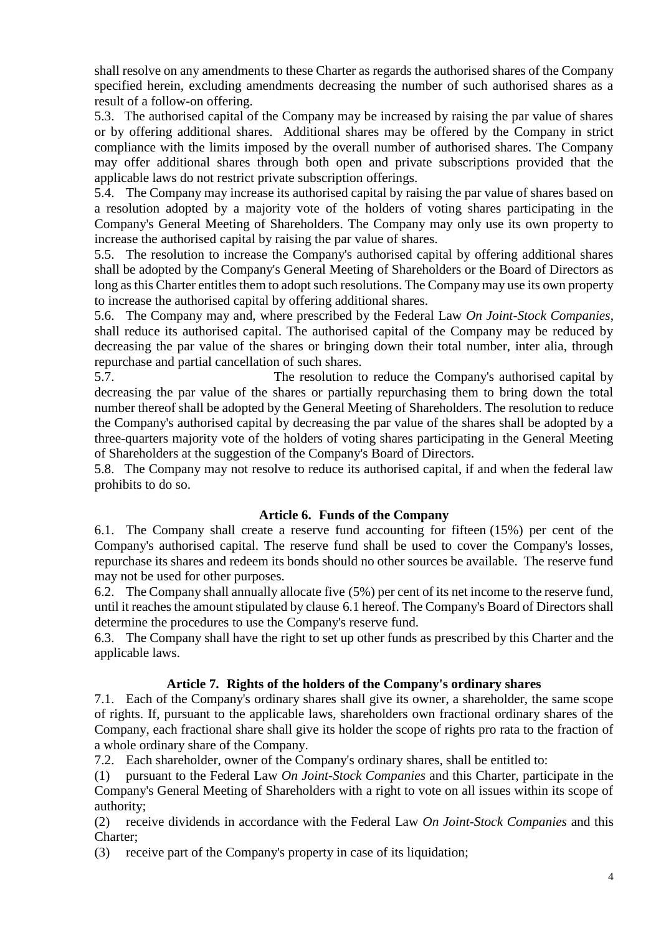shall resolve on any amendments to these Charter as regards the authorised shares of the Company specified herein, excluding amendments decreasing the number of such authorised shares as a result of a follow-on offering.

5.3. The authorised capital of the Company may be increased by raising the par value of shares or by offering additional shares. Additional shares may be offered by the Company in strict compliance with the limits imposed by the overall number of authorised shares. The Company may offer additional shares through both open and private subscriptions provided that the applicable laws do not restrict private subscription offerings.

5.4. The Company may increase its authorised capital by raising the par value of shares based on a resolution adopted by a majority vote of the holders of voting shares participating in the Company's General Meeting of Shareholders. The Company may only use its own property to increase the authorised capital by raising the par value of shares.

5.5. The resolution to increase the Company's authorised capital by offering additional shares shall be adopted by the Company's General Meeting of Shareholders or the Board of Directors as long as this Charter entitles them to adopt such resolutions. The Company may use its own property to increase the authorised capital by offering additional shares.

5.6. The Company may and, where prescribed by the Federal Law *On Joint-Stock Companies*, shall reduce its authorised capital. The authorised capital of the Company may be reduced by decreasing the par value of the shares or bringing down their total number, inter alia, through repurchase and partial cancellation of such shares.

5.7. The resolution to reduce the Company's authorised capital by decreasing the par value of the shares or partially repurchasing them to bring down the total number thereof shall be adopted by the General Meeting of Shareholders. The resolution to reduce the Company's authorised capital by decreasing the par value of the shares shall be adopted by a three-quarters majority vote of the holders of voting shares participating in the General Meeting of Shareholders at the suggestion of the Company's Board of Directors.

5.8. The Company may not resolve to reduce its authorised capital, if and when the federal law prohibits to do so.

# **Article 6. Funds of the Company**

6.1. The Company shall create a reserve fund accounting for fifteen (15%) per cent of the Company's authorised capital. The reserve fund shall be used to cover the Company's losses, repurchase its shares and redeem its bonds should no other sources be available. The reserve fund may not be used for other purposes.

6.2. The Company shall annually allocate five (5%) per cent of its net income to the reserve fund, until it reaches the amount stipulated by clause 6.1 hereof. The Company's Board of Directors shall determine the procedures to use the Company's reserve fund.

6.3. The Company shall have the right to set up other funds as prescribed by this Charter and the applicable laws.

# **Article 7. Rights of the holders of the Company's ordinary shares**

7.1. Each of the Company's ordinary shares shall give its owner, a shareholder, the same scope of rights. If, pursuant to the applicable laws, shareholders own fractional ordinary shares of the Company, each fractional share shall give its holder the scope of rights pro rata to the fraction of a whole ordinary share of the Company.

7.2. Each shareholder, owner of the Company's ordinary shares, shall be entitled to:

(1) pursuant to the Federal Law *On Joint-Stock Companies* and this Charter, participate in the Company's General Meeting of Shareholders with a right to vote on all issues within its scope of authority;

(2) receive dividends in accordance with the Federal Law *On Joint-Stock Companies* and this Charter;

(3) receive part of the Company's property in case of its liquidation;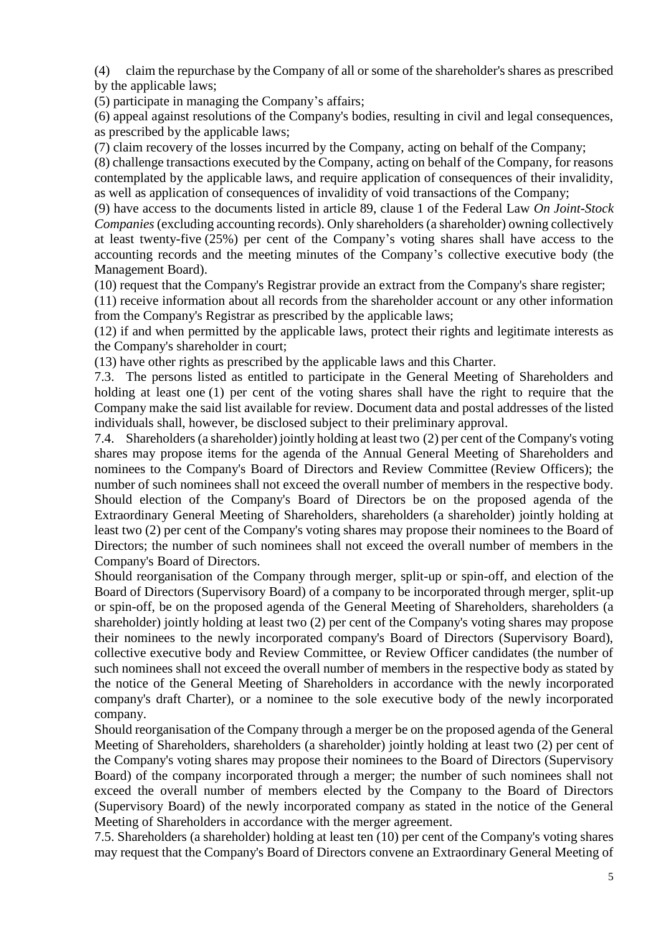(4) claim the repurchase by the Company of all or some of the shareholder's shares as prescribed by the applicable laws;

(5) participate in managing the Company's affairs;

(6) appeal against resolutions of the Company's bodies, resulting in civil and legal consequences, as prescribed by the applicable laws;

(7) claim recovery of the losses incurred by the Company, acting on behalf of the Company;

(8) challenge transactions executed by the Company, acting on behalf of the Company, for reasons contemplated by the applicable laws, and require application of consequences of their invalidity, as well as application of consequences of invalidity of void transactions of the Company;

(9) have access to the documents listed in article 89, clause 1 of the Federal Law *On Joint-Stock Companies* (excluding accounting records). Only shareholders (a shareholder) owning collectively at least twenty-five (25%) per cent of the Company's voting shares shall have access to the accounting records and the meeting minutes of the Company's collective executive body (the Management Board).

(10) request that the Company's Registrar provide an extract from the Company's share register;

(11) receive information about all records from the shareholder account or any other information from the Company's Registrar as prescribed by the applicable laws;

(12) if and when permitted by the applicable laws, protect their rights and legitimate interests as the Company's shareholder in court;

(13) have other rights as prescribed by the applicable laws and this Charter.

7.3. The persons listed as entitled to participate in the General Meeting of Shareholders and holding at least one (1) per cent of the voting shares shall have the right to require that the Company make the said list available for review. Document data and postal addresses of the listed individuals shall, however, be disclosed subject to their preliminary approval.

7.4. Shareholders (a shareholder) jointly holding at least two (2) per cent of the Company's voting shares may propose items for the agenda of the Annual General Meeting of Shareholders and nominees to the Company's Board of Directors and Review Committee (Review Officers); the number of such nominees shall not exceed the overall number of members in the respective body. Should election of the Company's Board of Directors be on the proposed agenda of the Extraordinary General Meeting of Shareholders, shareholders (a shareholder) jointly holding at least two (2) per cent of the Company's voting shares may propose their nominees to the Board of Directors; the number of such nominees shall not exceed the overall number of members in the Company's Board of Directors.

Should reorganisation of the Company through merger, split-up or spin-off, and election of the Board of Directors (Supervisory Board) of a company to be incorporated through merger, split-up or spin-off, be on the proposed agenda of the General Meeting of Shareholders, shareholders (a shareholder) jointly holding at least two (2) per cent of the Company's voting shares may propose their nominees to the newly incorporated company's Board of Directors (Supervisory Board), collective executive body and Review Committee, or Review Officer candidates (the number of such nominees shall not exceed the overall number of members in the respective body as stated by the notice of the General Meeting of Shareholders in accordance with the newly incorporated company's draft Charter), or a nominee to the sole executive body of the newly incorporated company.

Should reorganisation of the Company through a merger be on the proposed agenda of the General Meeting of Shareholders, shareholders (a shareholder) jointly holding at least two (2) per cent of the Company's voting shares may propose their nominees to the Board of Directors (Supervisory Board) of the company incorporated through a merger; the number of such nominees shall not exceed the overall number of members elected by the Company to the Board of Directors (Supervisory Board) of the newly incorporated company as stated in the notice of the General Meeting of Shareholders in accordance with the merger agreement.

7.5. Shareholders (a shareholder) holding at least ten (10) per cent of the Company's voting shares may request that the Company's Board of Directors convene an Extraordinary General Meeting of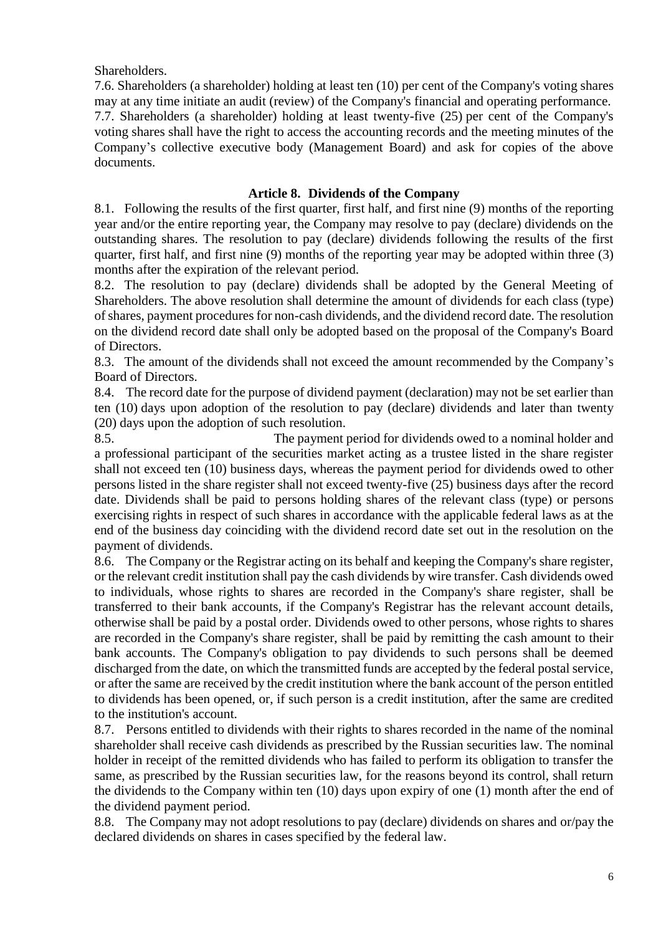Shareholders.

7.6. Shareholders (a shareholder) holding at least ten (10) per cent of the Company's voting shares may at any time initiate an audit (review) of the Company's financial and operating performance. 7.7. Shareholders (a shareholder) holding at least twenty-five (25) per cent of the Company's

voting shares shall have the right to access the accounting records and the meeting minutes of the Company's collective executive body (Management Board) and ask for copies of the above documents.

## **Article 8. Dividends of the Company**

8.1. Following the results of the first quarter, first half, and first nine (9) months of the reporting year and/or the entire reporting year, the Company may resolve to pay (declare) dividends on the outstanding shares. The resolution to pay (declare) dividends following the results of the first quarter, first half, and first nine (9) months of the reporting year may be adopted within three (3) months after the expiration of the relevant period.

8.2. The resolution to pay (declare) dividends shall be adopted by the General Meeting of Shareholders. The above resolution shall determine the amount of dividends for each class (type) of shares, payment procedures for non-cash dividends, and the dividend record date. The resolution on the dividend record date shall only be adopted based on the proposal of the Company's Board of Directors.

8.3. The amount of the dividends shall not exceed the amount recommended by the Company's Board of Directors.

8.4. The record date for the purpose of dividend payment (declaration) may not be set earlier than ten (10) days upon adoption of the resolution to pay (declare) dividends and later than twenty (20) days upon the adoption of such resolution.

8.5. The payment period for dividends owed to a nominal holder and a professional participant of the securities market acting as a trustee listed in the share register shall not exceed ten (10) business days, whereas the payment period for dividends owed to other persons listed in the share register shall not exceed twenty-five (25) business days after the record date. Dividends shall be paid to persons holding shares of the relevant class (type) or persons exercising rights in respect of such shares in accordance with the applicable federal laws as at the end of the business day coinciding with the dividend record date set out in the resolution on the payment of dividends.

8.6. The Company or the Registrar acting on its behalf and keeping the Company's share register, or the relevant credit institution shall pay the cash dividends by wire transfer. Cash dividends owed to individuals, whose rights to shares are recorded in the Company's share register, shall be transferred to their bank accounts, if the Company's Registrar has the relevant account details, otherwise shall be paid by a postal order. Dividends owed to other persons, whose rights to shares are recorded in the Company's share register, shall be paid by remitting the cash amount to their bank accounts. The Company's obligation to pay dividends to such persons shall be deemed discharged from the date, on which the transmitted funds are accepted by the federal postal service, or after the same are received by the credit institution where the bank account of the person entitled to dividends has been opened, or, if such person is a credit institution, after the same are credited to the institution's account.

8.7. Persons entitled to dividends with their rights to shares recorded in the name of the nominal shareholder shall receive cash dividends as prescribed by the Russian securities law. The nominal holder in receipt of the remitted dividends who has failed to perform its obligation to transfer the same, as prescribed by the Russian securities law, for the reasons beyond its control, shall return the dividends to the Company within ten (10) days upon expiry of one (1) month after the end of the dividend payment period.

8.8. The Company may not adopt resolutions to pay (declare) dividends on shares and or/pay the declared dividends on shares in cases specified by the federal law.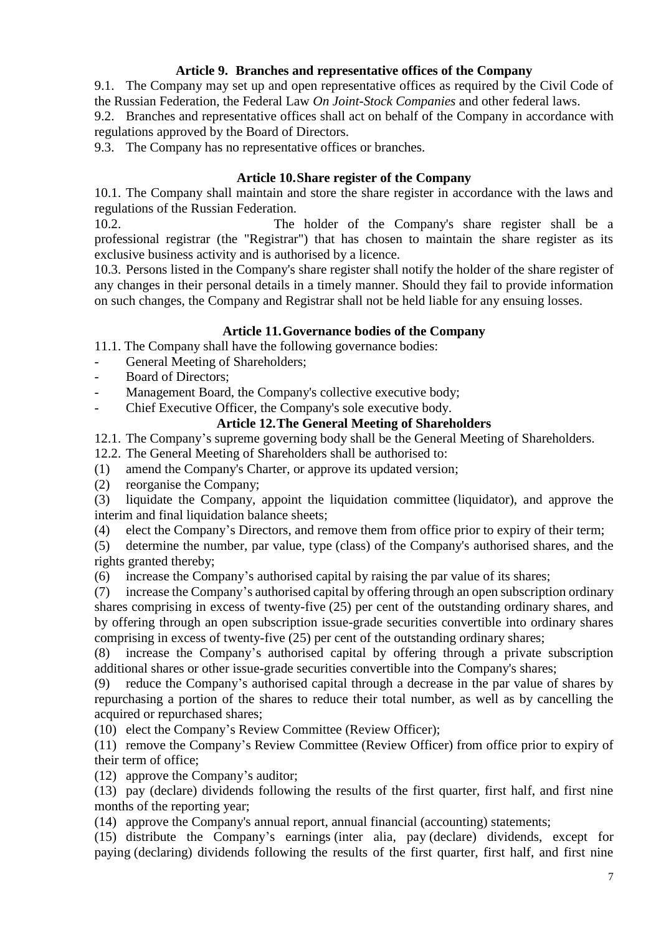## **Article 9. Branches and representative offices of the Company**

9.1. The Company may set up and open representative offices as required by the Civil Code of the Russian Federation, the Federal Law *On Joint-Stock Companies* and other federal laws.

9.2. Branches and representative offices shall act on behalf of the Company in accordance with regulations approved by the Board of Directors.

9.3. The Company has no representative offices or branches.

## **Article 10.Share register of the Company**

10.1. The Company shall maintain and store the share register in accordance with the laws and regulations of the Russian Federation.

10.2. The holder of the Company's share register shall be a professional registrar (the "Registrar") that has chosen to maintain the share register as its exclusive business activity and is authorised by a licence.

10.3. Persons listed in the Company's share register shall notify the holder of the share register of any changes in their personal details in a timely manner. Should they fail to provide information on such changes, the Company and Registrar shall not be held liable for any ensuing losses.

### **Article 11.Governance bodies of the Company**

11.1. The Company shall have the following governance bodies:

- General Meeting of Shareholders:
- Board of Directors:

Management Board, the Company's collective executive body;

Chief Executive Officer, the Company's sole executive body.

# **Article 12.The General Meeting of Shareholders**

12.1. The Company's supreme governing body shall be the General Meeting of Shareholders.

12.2. The General Meeting of Shareholders shall be authorised to:

(1) amend the Company's Charter, or approve its updated version;

(2) reorganise the Company;

(3) liquidate the Company, appoint the liquidation committee (liquidator), and approve the interim and final liquidation balance sheets;

(4) elect the Company's Directors, and remove them from office prior to expiry of their term;

(5) determine the number, par value, type (class) of the Company's authorised shares, and the rights granted thereby;

(6) increase the Company's authorised capital by raising the par value of its shares;

(7) increase the Company's authorised capital by offering through an open subscription ordinary shares comprising in excess of twenty-five (25) per cent of the outstanding ordinary shares, and by offering through an open subscription issue-grade securities convertible into ordinary shares comprising in excess of twenty-five (25) per cent of the outstanding ordinary shares;

(8) increase the Company's authorised capital by offering through a private subscription additional shares or other issue-grade securities convertible into the Company's shares;

(9) reduce the Company's authorised capital through a decrease in the par value of shares by repurchasing a portion of the shares to reduce their total number, as well as by cancelling the acquired or repurchased shares;

(10) elect the Company's Review Committee (Review Officer);

(11) remove the Company's Review Committee (Review Officer) from office prior to expiry of their term of office;

(12) approve the Company's auditor;

(13) pay (declare) dividends following the results of the first quarter, first half, and first nine months of the reporting year;

(14) approve the Company's annual report, annual financial (accounting) statements;

(15) distribute the Company's earnings (inter alia, pay (declare) dividends, except for paying (declaring) dividends following the results of the first quarter, first half, and first nine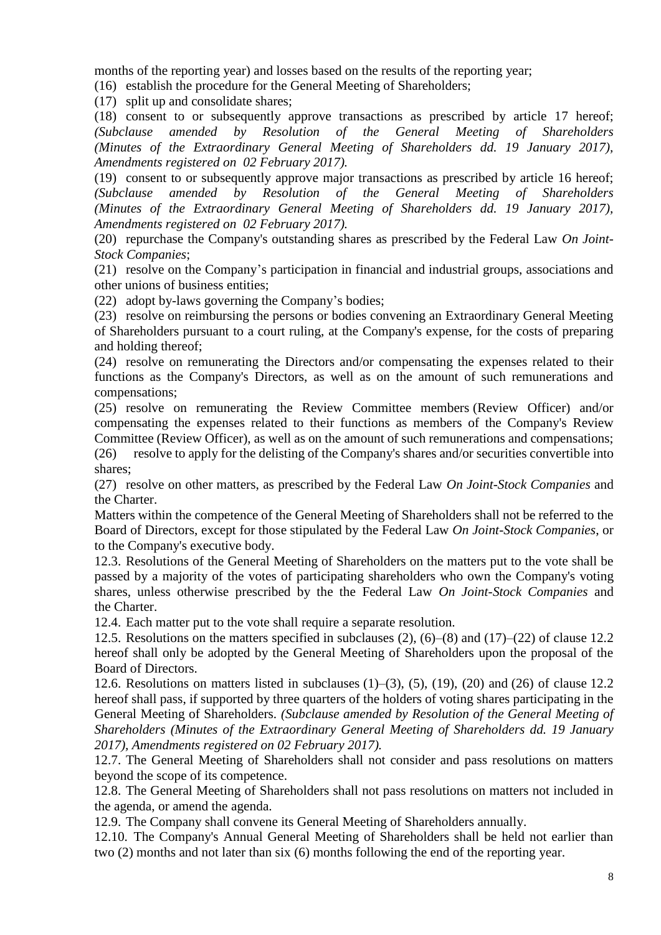months of the reporting year) and losses based on the results of the reporting year;

(16) establish the procedure for the General Meeting of Shareholders;

(17) split up and consolidate shares;

(18) consent to or subsequently approve transactions as prescribed by article 17 hereof; *(Subclause amended by Resolution of the General Meeting of Shareholders (Minutes of the Extraordinary General Meeting of Shareholders dd. 19 January 2017), Amendments registered on 02 February 2017).*

(19) consent to or subsequently approve major transactions as prescribed by article 16 hereof; *(Subclause amended by Resolution of the General Meeting of Shareholders (Minutes of the Extraordinary General Meeting of Shareholders dd. 19 January 2017), Amendments registered on 02 February 2017).*

(20) repurchase the Company's outstanding shares as prescribed by the Federal Law *On Joint-Stock Companies*;

(21) resolve on the Company's participation in financial and industrial groups, associations and other unions of business entities;

(22) adopt by-laws governing the Company's bodies;

(23) resolve on reimbursing the persons or bodies convening an Extraordinary General Meeting of Shareholders pursuant to a court ruling, at the Company's expense, for the costs of preparing and holding thereof;

(24) resolve on remunerating the Directors and/or compensating the expenses related to their functions as the Company's Directors, as well as on the amount of such remunerations and compensations;

(25) resolve on remunerating the Review Committee members (Review Officer) and/or compensating the expenses related to their functions as members of the Company's Review Committee (Review Officer), as well as on the amount of such remunerations and compensations; (26) resolve to apply for the delisting of the Company's shares and/or securities convertible into

shares; (27) resolve on other matters, as prescribed by the Federal Law *On Joint-Stock Companies* and the Charter.

Matters within the competence of the General Meeting of Shareholders shall not be referred to the Board of Directors, except for those stipulated by the Federal Law *On Joint-Stock Companies*, or to the Company's executive body.

12.3. Resolutions of the General Meeting of Shareholders on the matters put to the vote shall be passed by a majority of the votes of participating shareholders who own the Company's voting shares, unless otherwise prescribed by the the Federal Law *On Joint-Stock Companies* and the Charter.

12.4. Each matter put to the vote shall require a separate resolution.

12.5. Resolutions on the matters specified in subclauses (2), (6)–(8) and (17)–(22) of clause 12.2 hereof shall only be adopted by the General Meeting of Shareholders upon the proposal of the Board of Directors.

12.6. Resolutions on matters listed in subclauses  $(1)$ – $(3)$ ,  $(5)$ ,  $(19)$ ,  $(20)$  and  $(26)$  of clause 12.2 hereof shall pass, if supported by three quarters of the holders of voting shares participating in the General Meeting of Shareholders. *(Subclause amended by Resolution of the General Meeting of Shareholders (Minutes of the Extraordinary General Meeting of Shareholders dd. 19 January 2017), Amendments registered on 02 February 2017).*

12.7. The General Meeting of Shareholders shall not consider and pass resolutions on matters beyond the scope of its competence.

12.8. The General Meeting of Shareholders shall not pass resolutions on matters not included in the agenda, or amend the agenda.

12.9. The Company shall convene its General Meeting of Shareholders annually.

12.10. The Company's Annual General Meeting of Shareholders shall be held not earlier than two (2) months and not later than six (6) months following the end of the reporting year.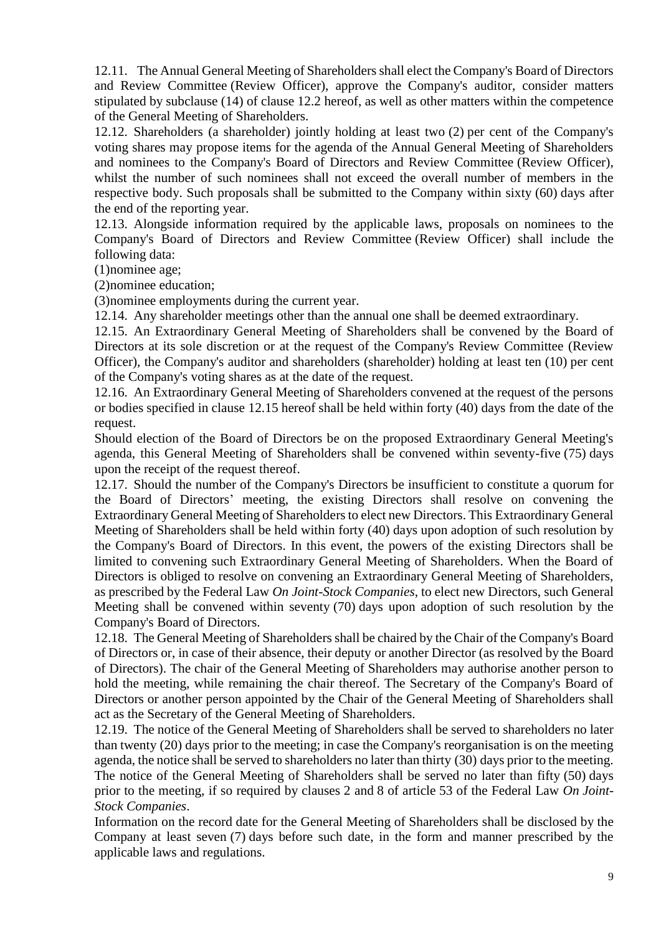12.11. The Annual General Meeting of Shareholders shall elect the Company's Board of Directors and Review Committee (Review Officer), approve the Company's auditor, consider matters stipulated by subclause (14) of clause 12.2 hereof, as well as other matters within the competence of the General Meeting of Shareholders.

12.12. Shareholders (a shareholder) jointly holding at least two (2) per cent of the Company's voting shares may propose items for the agenda of the Annual General Meeting of Shareholders and nominees to the Company's Board of Directors and Review Committee (Review Officer), whilst the number of such nominees shall not exceed the overall number of members in the respective body. Such proposals shall be submitted to the Company within sixty (60) days after the end of the reporting year.

12.13. Alongside information required by the applicable laws, proposals on nominees to the Company's Board of Directors and Review Committee (Review Officer) shall include the following data:

(1)nominee age;

(2)nominee education;

(3)nominee employments during the current year.

12.14. Any shareholder meetings other than the annual one shall be deemed extraordinary.

12.15. An Extraordinary General Meeting of Shareholders shall be convened by the Board of Directors at its sole discretion or at the request of the Company's Review Committee (Review Officer), the Company's auditor and shareholders (shareholder) holding at least ten (10) per cent of the Company's voting shares as at the date of the request.

12.16. An Extraordinary General Meeting of Shareholders convened at the request of the persons or bodies specified in clause 12.15 hereof shall be held within forty (40) days from the date of the request.

Should election of the Board of Directors be on the proposed Extraordinary General Meeting's agenda, this General Meeting of Shareholders shall be convened within seventy-five (75) days upon the receipt of the request thereof.

12.17. Should the number of the Company's Directors be insufficient to constitute a quorum for the Board of Directors' meeting, the existing Directors shall resolve on convening the Extraordinary General Meeting of Shareholders to elect new Directors. This Extraordinary General Meeting of Shareholders shall be held within forty (40) days upon adoption of such resolution by the Company's Board of Directors. In this event, the powers of the existing Directors shall be limited to convening such Extraordinary General Meeting of Shareholders. When the Board of Directors is obliged to resolve on convening an Extraordinary General Meeting of Shareholders, as prescribed by the Federal Law *On Joint-Stock Companies*, to elect new Directors, such General Meeting shall be convened within seventy (70) days upon adoption of such resolution by the Company's Board of Directors.

12.18. The General Meeting of Shareholders shall be chaired by the Chair of the Company's Board of Directors or, in case of their absence, their deputy or another Director (as resolved by the Board of Directors). The chair of the General Meeting of Shareholders may authorise another person to hold the meeting, while remaining the chair thereof. The Secretary of the Company's Board of Directors or another person appointed by the Chair of the General Meeting of Shareholders shall act as the Secretary of the General Meeting of Shareholders.

12.19. The notice of the General Meeting of Shareholders shall be served to shareholders no later than twenty (20) days prior to the meeting; in case the Company's reorganisation is on the meeting agenda, the notice shall be served to shareholders no later than thirty (30) days prior to the meeting. The notice of the General Meeting of Shareholders shall be served no later than fifty (50) days prior to the meeting, if so required by clauses 2 and 8 of article 53 of the Federal Law *On Joint-Stock Companies*.

Information on the record date for the General Meeting of Shareholders shall be disclosed by the Company at least seven (7) days before such date, in the form and manner prescribed by the applicable laws and regulations.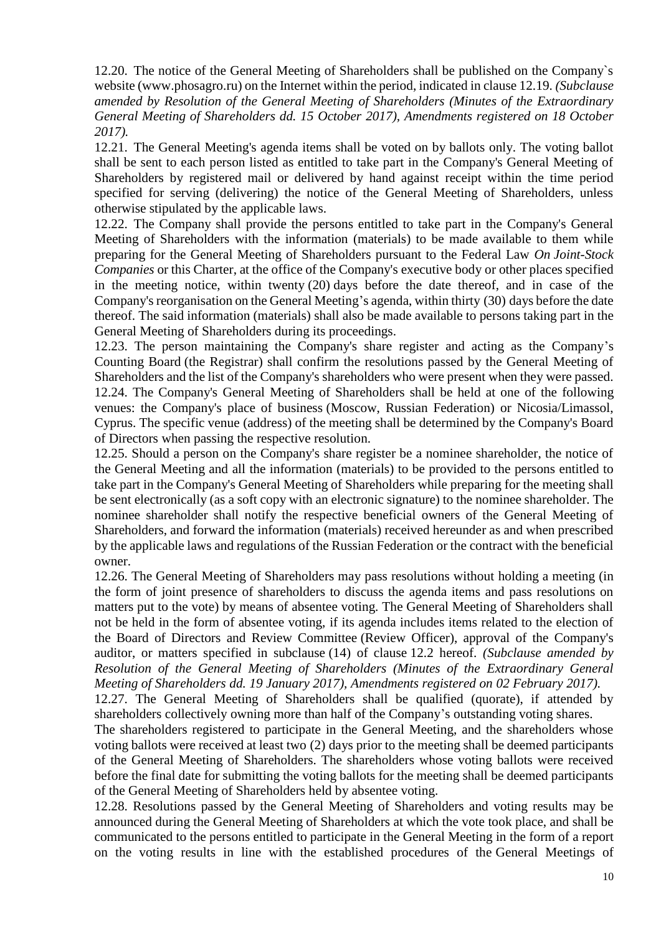12.20. The notice of the General Meeting of Shareholders shall be published on the Company`s website (www.phosagro.ru) on the Internet within the period, indicated in clause 12.19. *(Subclause amended by Resolution of the General Meeting of Shareholders (Minutes of the Extraordinary General Meeting of Shareholders dd. 15 October 2017), Amendments registered on 18 October 2017).*

12.21. The General Meeting's agenda items shall be voted on by ballots only. The voting ballot shall be sent to each person listed as entitled to take part in the Company's General Meeting of Shareholders by registered mail or delivered by hand against receipt within the time period specified for serving (delivering) the notice of the General Meeting of Shareholders, unless otherwise stipulated by the applicable laws.

12.22. The Company shall provide the persons entitled to take part in the Company's General Meeting of Shareholders with the information (materials) to be made available to them while preparing for the General Meeting of Shareholders pursuant to the Federal Law *On Joint-Stock Companies* or this Charter, at the office of the Company's executive body or other places specified in the meeting notice, within twenty (20) days before the date thereof, and in case of the Company's reorganisation on the General Meeting's agenda, within thirty (30) days before the date thereof. The said information (materials) shall also be made available to persons taking part in the General Meeting of Shareholders during its proceedings.

12.23. The person maintaining the Company's share register and acting as the Company's Counting Board (the Registrar) shall confirm the resolutions passed by the General Meeting of Shareholders and the list of the Company's shareholders who were present when they were passed. 12.24. The Company's General Meeting of Shareholders shall be held at one of the following venues: the Company's place of business (Moscow, Russian Federation) or Nicosia/Limassol, Cyprus. The specific venue (address) of the meeting shall be determined by the Company's Board of Directors when passing the respective resolution.

12.25. Should a person on the Company's share register be a nominee shareholder, the notice of the General Meeting and all the information (materials) to be provided to the persons entitled to take part in the Company's General Meeting of Shareholders while preparing for the meeting shall be sent electronically (as a soft copy with an electronic signature) to the nominee shareholder. The nominee shareholder shall notify the respective beneficial owners of the General Meeting of Shareholders, and forward the information (materials) received hereunder as and when prescribed by the applicable laws and regulations of the Russian Federation or the contract with the beneficial owner.

12.26. The General Meeting of Shareholders may pass resolutions without holding a meeting (in the form of joint presence of shareholders to discuss the agenda items and pass resolutions on matters put to the vote) by means of absentee voting. The General Meeting of Shareholders shall not be held in the form of absentee voting, if its agenda includes items related to the election of the Board of Directors and Review Committee (Review Officer), approval of the Company's auditor, or matters specified in subclause (14) of clause 12.2 hereof. *(Subclause amended by Resolution of the General Meeting of Shareholders (Minutes of the Extraordinary General Meeting of Shareholders dd. 19 January 2017), Amendments registered on 02 February 2017).*

12.27. The General Meeting of Shareholders shall be qualified (quorate), if attended by shareholders collectively owning more than half of the Company's outstanding voting shares.

The shareholders registered to participate in the General Meeting, and the shareholders whose voting ballots were received at least two (2) days prior to the meeting shall be deemed participants of the General Meeting of Shareholders. The shareholders whose voting ballots were received before the final date for submitting the voting ballots for the meeting shall be deemed participants of the General Meeting of Shareholders held by absentee voting.

12.28. Resolutions passed by the General Meeting of Shareholders and voting results may be announced during the General Meeting of Shareholders at which the vote took place, and shall be communicated to the persons entitled to participate in the General Meeting in the form of a report on the voting results in line with the established procedures of the General Meetings of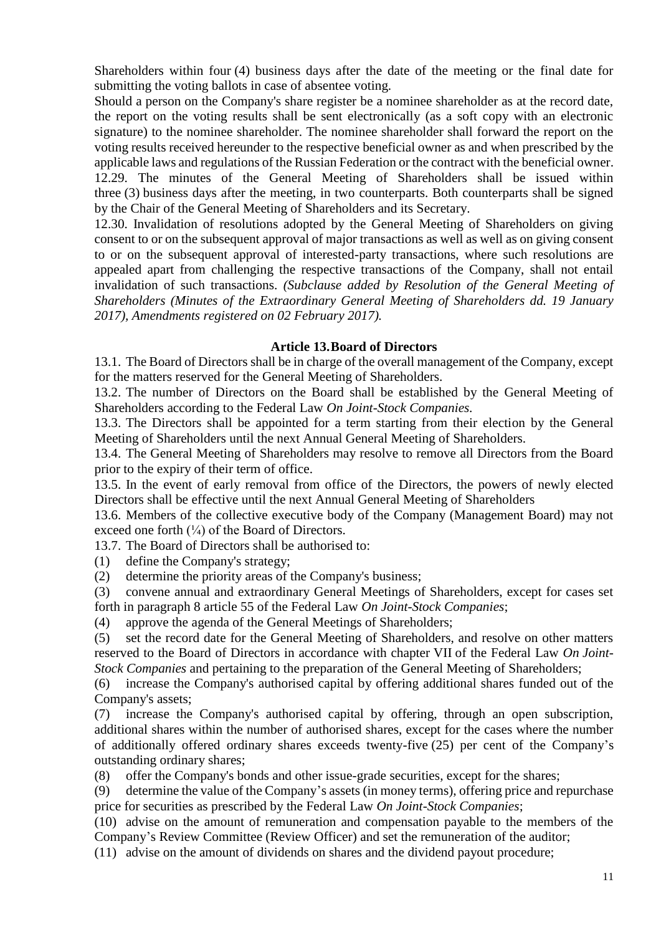Shareholders within four (4) business days after the date of the meeting or the final date for submitting the voting ballots in case of absentee voting.

Should a person on the Company's share register be a nominee shareholder as at the record date, the report on the voting results shall be sent electronically (as a soft copy with an electronic signature) to the nominee shareholder. The nominee shareholder shall forward the report on the voting results received hereunder to the respective beneficial owner as and when prescribed by the applicable laws and regulations of the Russian Federation or the contract with the beneficial owner. 12.29. The minutes of the General Meeting of Shareholders shall be issued within three (3) business days after the meeting, in two counterparts. Both counterparts shall be signed by the Chair of the General Meeting of Shareholders and its Secretary.

12.30. Invalidation of resolutions adopted by the General Meeting of Shareholders on giving consent to or on the subsequent approval of major transactions as well as well as on giving consent to or on the subsequent approval of interested-party transactions, where such resolutions are appealed apart from challenging the respective transactions of the Company, shall not entail invalidation of such transactions. *(Subclause added by Resolution of the General Meeting of Shareholders (Minutes of the Extraordinary General Meeting of Shareholders dd. 19 January 2017), Amendments registered on 02 February 2017).*

#### **Article 13.Board of Directors**

13.1. The Board of Directors shall be in charge of the overall management of the Company, except for the matters reserved for the General Meeting of Shareholders.

13.2. The number of Directors on the Board shall be established by the General Meeting of Shareholders according to the Federal Law *On Joint-Stock Companies.*

13.3. The Directors shall be appointed for a term starting from their election by the General Meeting of Shareholders until the next Annual General Meeting of Shareholders.

13.4. The General Meeting of Shareholders may resolve to remove all Directors from the Board prior to the expiry of their term of office.

13.5. In the event of early removal from office of the Directors, the powers of newly elected Directors shall be effective until the next Annual General Meeting of Shareholders

13.6. Members of the collective executive body of the Company (Management Board) may not exceed one forth  $\binom{1}{4}$  of the Board of Directors.

13.7. The Board of Directors shall be authorised to:

(1) define the Company's strategy;

(2) determine the priority areas of the Company's business;

(3) convene annual and extraordinary General Meetings of Shareholders, except for cases set forth in paragraph 8 article 55 of the Federal Law *On Joint-Stock Companies*;

(4) approve the agenda of the General Meetings of Shareholders;

(5) set the record date for the General Meeting of Shareholders, and resolve on other matters reserved to the Board of Directors in accordance with chapter VII of the Federal Law *On Joint-Stock Companies* and pertaining to the preparation of the General Meeting of Shareholders;

(6) increase the Company's authorised capital by offering additional shares funded out of the Company's assets;

(7) increase the Company's authorised capital by offering, through an open subscription, additional shares within the number of authorised shares, except for the cases where the number of additionally offered ordinary shares exceeds twenty-five (25) per cent of the Company's outstanding ordinary shares;

(8) offer the Company's bonds and other issue-grade securities, except for the shares;

(9) determine the value of the Company's assets (in money terms), offering price and repurchase price for securities as prescribed by the Federal Law *On Joint-Stock Companies*;

(10) advise on the amount of remuneration and compensation payable to the members of the Company's Review Committee (Review Officer) and set the remuneration of the auditor;

(11) advise on the amount of dividends on shares and the dividend payout procedure;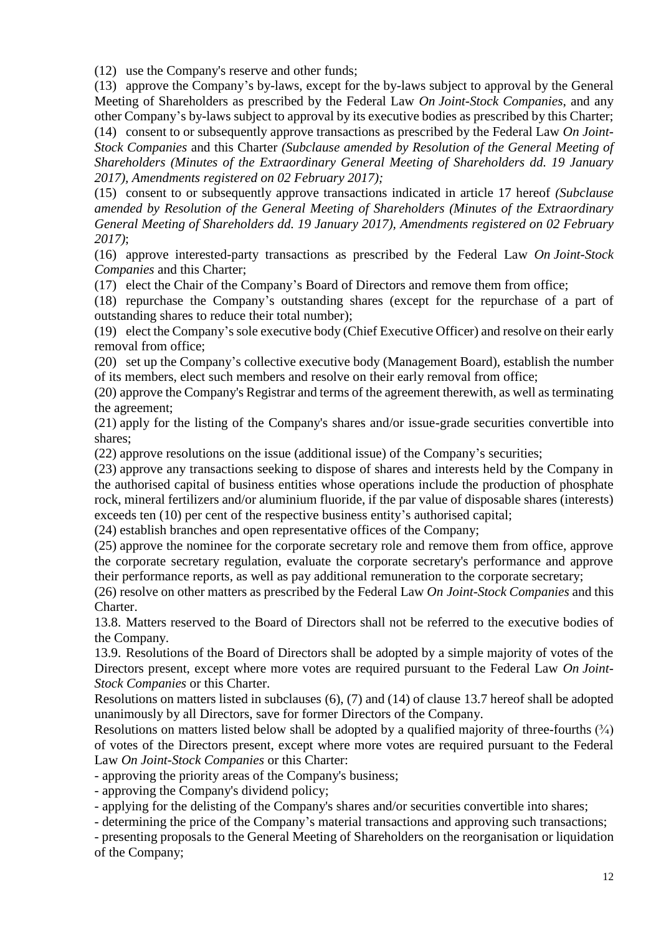(12) use the Company's reserve and other funds;

(13) approve the Company's by-laws, except for the by-laws subject to approval by the General Meeting of Shareholders as prescribed by the Federal Law *On Joint-Stock Companies*, and any other Company's by-laws subject to approval by its executive bodies as prescribed by this Charter;

(14) consent to or subsequently approve transactions as prescribed by the Federal Law *On Joint-Stock Companies* and this Charter *(Subclause amended by Resolution of the General Meeting of Shareholders (Minutes of the Extraordinary General Meeting of Shareholders dd. 19 January 2017), Amendments registered on 02 February 2017);*

(15) consent to or subsequently approve transactions indicated in article 17 hereof *(Subclause amended by Resolution of the General Meeting of Shareholders (Minutes of the Extraordinary General Meeting of Shareholders dd. 19 January 2017), Amendments registered on 02 February 2017)*;

(16) approve interested-party transactions as prescribed by the Federal Law *On Joint-Stock Companies* and this Charter;

(17) elect the Chair of the Company's Board of Directors and remove them from office;

(18) repurchase the Company's outstanding shares (except for the repurchase of a part of outstanding shares to reduce their total number);

(19) elect the Company's sole executive body (Chief Executive Officer) and resolve on their early removal from office;

(20) set up the Company's collective executive body (Management Board), establish the number of its members, elect such members and resolve on their early removal from office;

(20) approve the Company's Registrar and terms of the agreement therewith, as well as terminating the agreement;

(21) apply for the listing of the Company's shares and/or issue-grade securities convertible into shares;

(22) approve resolutions on the issue (additional issue) of the Company's securities;

(23) approve any transactions seeking to dispose of shares and interests held by the Company in the authorised capital of business entities whose operations include the production of phosphate rock, mineral fertilizers and/or aluminium fluoride, if the par value of disposable shares (interests) exceeds ten (10) per cent of the respective business entity's authorised capital;

(24) establish branches and open representative offices of the Company;

(25) approve the nominee for the corporate secretary role and remove them from office, approve the corporate secretary regulation, evaluate the corporate secretary's performance and approve their performance reports, as well as pay additional remuneration to the corporate secretary;

(26) resolve on other matters as prescribed by the Federal Law *On Joint-Stock Companies* and this Charter.

13.8. Matters reserved to the Board of Directors shall not be referred to the executive bodies of the Company.

13.9. Resolutions of the Board of Directors shall be adopted by a simple majority of votes of the Directors present, except where more votes are required pursuant to the Federal Law *On Joint-Stock Companies* or this Charter.

Resolutions on matters listed in subclauses (6), (7) and (14) of clause 13.7 hereof shall be adopted unanimously by all Directors, save for former Directors of the Company.

Resolutions on matters listed below shall be adopted by a qualified majority of three-fourths  $(\frac{3}{4})$ of votes of the Directors present, except where more votes are required pursuant to the Federal Law *On Joint-Stock Companies* or this Charter:

- approving the priority areas of the Company's business;

- approving the Company's dividend policy;

- applying for the delisting of the Company's shares and/or securities convertible into shares;

- determining the price of the Company's material transactions and approving such transactions;

- presenting proposals to the General Meeting of Shareholders on the reorganisation or liquidation of the Company;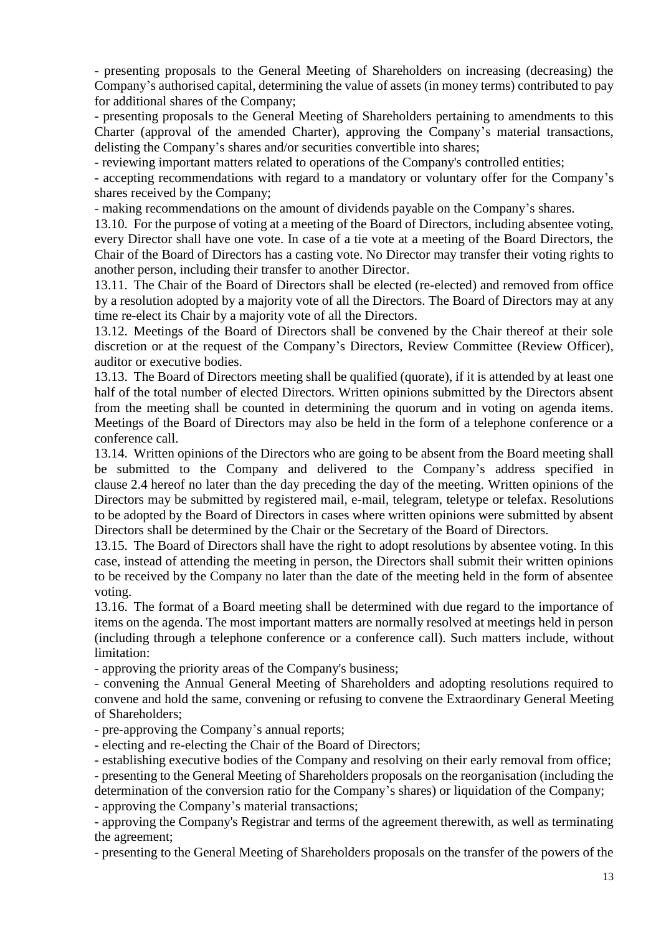- presenting proposals to the General Meeting of Shareholders on increasing (decreasing) the Company's authorised capital, determining the value of assets (in money terms) contributed to pay for additional shares of the Company;

- presenting proposals to the General Meeting of Shareholders pertaining to amendments to this Charter (approval of the amended Charter), approving the Company's material transactions, delisting the Company's shares and/or securities convertible into shares;

- reviewing important matters related to operations of the Company's controlled entities;

- accepting recommendations with regard to a mandatory or voluntary offer for the Company's shares received by the Company;

- making recommendations on the amount of dividends payable on the Company's shares.

13.10. For the purpose of voting at a meeting of the Board of Directors, including absentee voting, every Director shall have one vote. In case of a tie vote at a meeting of the Board Directors, the Chair of the Board of Directors has a casting vote. No Director may transfer their voting rights to another person, including their transfer to another Director.

13.11. The Chair of the Board of Directors shall be elected (re-elected) and removed from office by a resolution adopted by a majority vote of all the Directors. The Board of Directors may at any time re-elect its Chair by a majority vote of all the Directors.

13.12. Meetings of the Board of Directors shall be convened by the Chair thereof at their sole discretion or at the request of the Company's Directors, Review Committee (Review Officer), auditor or executive bodies.

13.13. The Board of Directors meeting shall be qualified (quorate), if it is attended by at least one half of the total number of elected Directors. Written opinions submitted by the Directors absent from the meeting shall be counted in determining the quorum and in voting on agenda items. Meetings of the Board of Directors may also be held in the form of a telephone conference or a conference call.

13.14. Written opinions of the Directors who are going to be absent from the Board meeting shall be submitted to the Company and delivered to the Company's address specified in clause 2.4 hereof no later than the day preceding the day of the meeting. Written opinions of the Directors may be submitted by registered mail, e-mail, telegram, teletype or telefax. Resolutions to be adopted by the Board of Directors in cases where written opinions were submitted by absent Directors shall be determined by the Chair or the Secretary of the Board of Directors.

13.15. The Board of Directors shall have the right to adopt resolutions by absentee voting. In this case, instead of attending the meeting in person, the Directors shall submit their written opinions to be received by the Company no later than the date of the meeting held in the form of absentee voting.

13.16. The format of a Board meeting shall be determined with due regard to the importance of items on the agenda. The most important matters are normally resolved at meetings held in person (including through a telephone conference or a conference call). Such matters include, without limitation:

- approving the priority areas of the Company's business;

- convening the Annual General Meeting of Shareholders and adopting resolutions required to convene and hold the same, convening or refusing to convene the Extraordinary General Meeting of Shareholders;

- pre-approving the Company's annual reports;

- electing and re-electing the Chair of the Board of Directors;

- establishing executive bodies of the Company and resolving on their early removal from office;

- presenting to the General Meeting of Shareholders proposals on the reorganisation (including the determination of the conversion ratio for the Company's shares) or liquidation of the Company;

- approving the Company's material transactions;

- approving the Company's Registrar and terms of the agreement therewith, as well as terminating the agreement;

- presenting to the General Meeting of Shareholders proposals on the transfer of the powers of the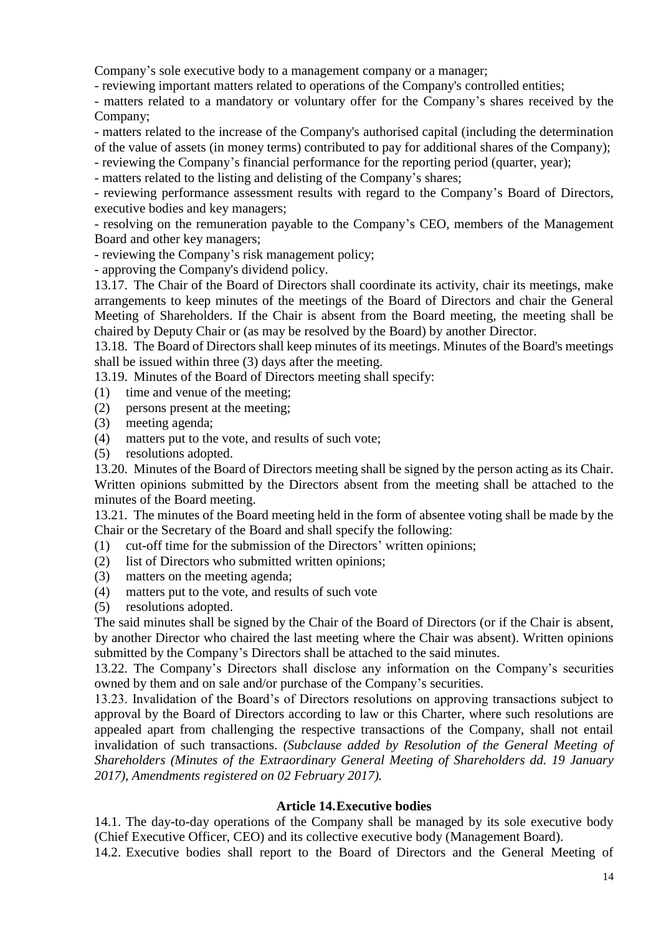Company's sole executive body to a management company or a manager;

- reviewing important matters related to operations of the Company's controlled entities;

- matters related to a mandatory or voluntary offer for the Company's shares received by the Company;

- matters related to the increase of the Company's authorised capital (including the determination of the value of assets (in money terms) contributed to pay for additional shares of the Company);

- reviewing the Company's financial performance for the reporting period (quarter, year);

- matters related to the listing and delisting of the Company's shares;

- reviewing performance assessment results with regard to the Company's Board of Directors, executive bodies and key managers;

- resolving on the remuneration payable to the Company's CEO, members of the Management Board and other key managers;

- reviewing the Company's risk management policy;

- approving the Company's dividend policy.

13.17. The Chair of the Board of Directors shall coordinate its activity, chair its meetings, make arrangements to keep minutes of the meetings of the Board of Directors and chair the General Meeting of Shareholders. If the Chair is absent from the Board meeting, the meeting shall be chaired by Deputy Chair or (as may be resolved by the Board) by another Director.

13.18. The Board of Directors shall keep minutes of its meetings. Minutes of the Board's meetings shall be issued within three (3) days after the meeting.

13.19. Minutes of the Board of Directors meeting shall specify:

- (1) time and venue of the meeting;
- (2) persons present at the meeting;
- (3) meeting agenda;
- (4) matters put to the vote, and results of such vote;
- (5) resolutions adopted.

13.20. Minutes of the Board of Directors meeting shall be signed by the person acting as its Chair. Written opinions submitted by the Directors absent from the meeting shall be attached to the minutes of the Board meeting.

13.21. The minutes of the Board meeting held in the form of absentee voting shall be made by the Chair or the Secretary of the Board and shall specify the following:

- (1) cut-off time for the submission of the Directors' written opinions;
- (2) list of Directors who submitted written opinions;
- (3) matters on the meeting agenda;
- (4) matters put to the vote, and results of such vote
- (5) resolutions adopted.

The said minutes shall be signed by the Chair of the Board of Directors (or if the Chair is absent, by another Director who chaired the last meeting where the Chair was absent). Written opinions submitted by the Company's Directors shall be attached to the said minutes.

13.22. The Company's Directors shall disclose any information on the Company's securities owned by them and on sale and/or purchase of the Company's securities.

13.23. Invalidation of the Board's of Directors resolutions on approving transactions subject to approval by the Board of Directors according to law or this Charter, where such resolutions are appealed apart from challenging the respective transactions of the Company, shall not entail invalidation of such transactions. *(Subclause added by Resolution of the General Meeting of Shareholders (Minutes of the Extraordinary General Meeting of Shareholders dd. 19 January 2017), Amendments registered on 02 February 2017).*

#### **Article 14.Executive bodies**

14.1. The day-to-day operations of the Company shall be managed by its sole executive body (Chief Executive Officer, CEO) and its collective executive body (Management Board).

14.2. Executive bodies shall report to the Board of Directors and the General Meeting of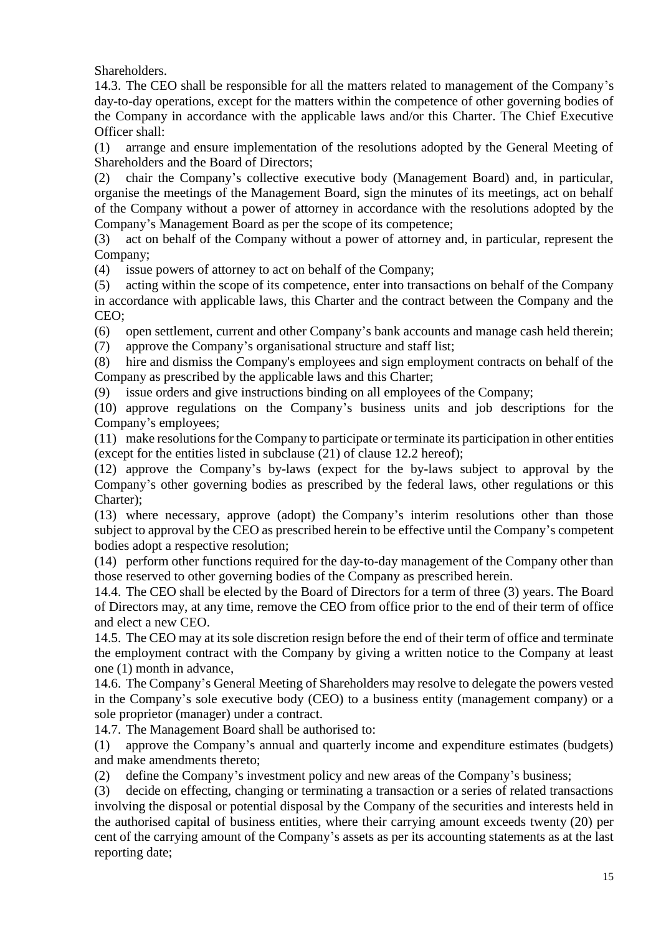Shareholders.

14.3. The CEO shall be responsible for all the matters related to management of the Company's day-to-day operations, except for the matters within the competence of other governing bodies of the Company in accordance with the applicable laws and/or this Charter. The Chief Executive Officer shall:

(1) arrange and ensure implementation of the resolutions adopted by the General Meeting of Shareholders and the Board of Directors;

(2) chair the Company's collective executive body (Management Board) and, in particular, organise the meetings of the Management Board, sign the minutes of its meetings, act on behalf of the Company without a power of attorney in accordance with the resolutions adopted by the Company's Management Board as per the scope of its competence;

(3) act on behalf of the Company without a power of attorney and, in particular, represent the Company;

(4) issue powers of attorney to act on behalf of the Company;

(5) acting within the scope of its competence, enter into transactions on behalf of the Company in accordance with applicable laws, this Charter and the contract between the Company and the CEO;

(6) open settlement, current and other Company's bank accounts and manage cash held therein;

(7) approve the Company's organisational structure and staff list;

(8) hire and dismiss the Company's employees and sign employment contracts on behalf of the Company as prescribed by the applicable laws and this Charter;

(9) issue orders and give instructions binding on all employees of the Company;

(10) approve regulations on the Company's business units and job descriptions for the Company's employees;

(11) make resolutions for the Company to participate or terminate its participation in other entities (except for the entities listed in subclause (21) of clause 12.2 hereof);

(12) approve the Company's by-laws (expect for the by-laws subject to approval by the Company's other governing bodies as prescribed by the federal laws, other regulations or this Charter);

(13) where necessary, approve (adopt) the Company's interim resolutions other than those subject to approval by the CEO as prescribed herein to be effective until the Company's competent bodies adopt a respective resolution;

(14) perform other functions required for the day-to-day management of the Company other than those reserved to other governing bodies of the Company as prescribed herein.

14.4. The CEO shall be elected by the Board of Directors for a term of three (3) years. The Board of Directors may, at any time, remove the CEO from office prior to the end of their term of office and elect a new CEO.

14.5. The CEO may at its sole discretion resign before the end of their term of office and terminate the employment contract with the Company by giving a written notice to the Company at least one (1) month in advance,

14.6. The Company's General Meeting of Shareholders may resolve to delegate the powers vested in the Company's sole executive body (CEO) to a business entity (management company) or a sole proprietor (manager) under a contract.

14.7. The Management Board shall be authorised to:

(1) approve the Company's annual and quarterly income and expenditure estimates (budgets) and make amendments thereto;

(2) define the Company's investment policy and new areas of the Company's business;

(3) decide on effecting, changing or terminating a transaction or a series of related transactions involving the disposal or potential disposal by the Company of the securities and interests held in the authorised capital of business entities, where their carrying amount exceeds twenty (20) per cent of the carrying amount of the Company's assets as per its accounting statements as at the last reporting date;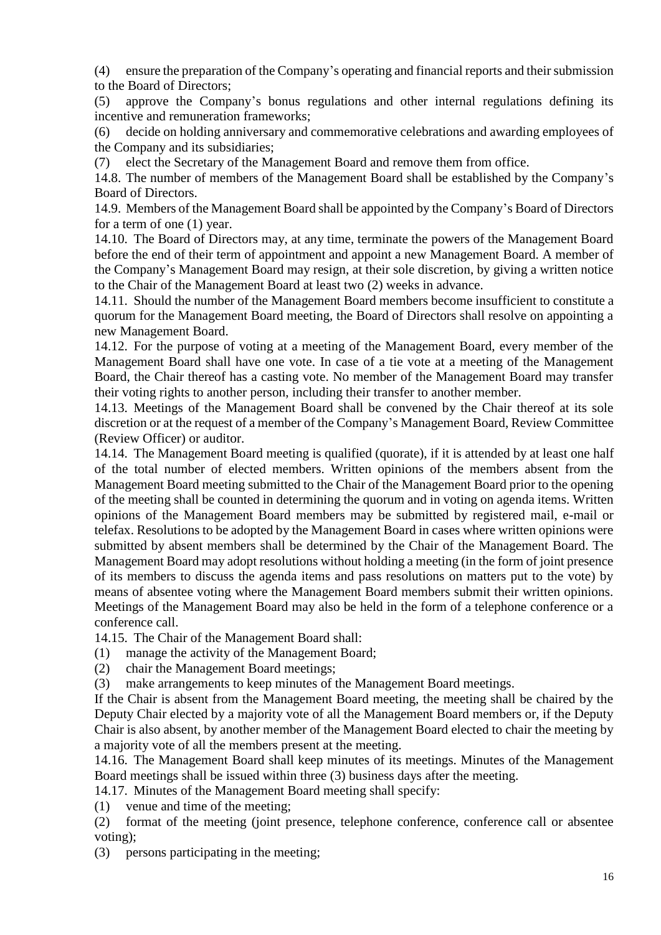(4) ensure the preparation of the Company's operating and financial reports and their submission to the Board of Directors;

(5) approve the Company's bonus regulations and other internal regulations defining its incentive and remuneration frameworks;

(6) decide on holding anniversary and commemorative celebrations and awarding employees of the Company and its subsidiaries;

(7) elect the Secretary of the Management Board and remove them from office.

14.8. The number of members of the Management Board shall be established by the Company's Board of Directors.

14.9. Members of the Management Board shall be appointed by the Company's Board of Directors for a term of one (1) year.

14.10. The Board of Directors may, at any time, terminate the powers of the Management Board before the end of their term of appointment and appoint a new Management Board. A member of the Company's Management Board may resign, at their sole discretion, by giving a written notice to the Chair of the Management Board at least two (2) weeks in advance.

14.11. Should the number of the Management Board members become insufficient to constitute a quorum for the Management Board meeting, the Board of Directors shall resolve on appointing a new Management Board.

14.12. For the purpose of voting at a meeting of the Management Board, every member of the Management Board shall have one vote. In case of a tie vote at a meeting of the Management Board, the Chair thereof has a casting vote. No member of the Management Board may transfer their voting rights to another person, including their transfer to another member.

14.13. Meetings of the Management Board shall be convened by the Chair thereof at its sole discretion or at the request of a member of the Company's Management Board, Review Committee (Review Officer) or auditor.

14.14. The Management Board meeting is qualified (quorate), if it is attended by at least one half of the total number of elected members. Written opinions of the members absent from the Management Board meeting submitted to the Chair of the Management Board prior to the opening of the meeting shall be counted in determining the quorum and in voting on agenda items. Written opinions of the Management Board members may be submitted by registered mail, e-mail or telefax. Resolutions to be adopted by the Management Board in cases where written opinions were submitted by absent members shall be determined by the Chair of the Management Board. The Management Board may adopt resolutions without holding a meeting (in the form of joint presence of its members to discuss the agenda items and pass resolutions on matters put to the vote) by means of absentee voting where the Management Board members submit their written opinions. Meetings of the Management Board may also be held in the form of a telephone conference or a conference call.

14.15. The Chair of the Management Board shall:

(1) manage the activity of the Management Board;

- (2) chair the Management Board meetings;
- (3) make arrangements to keep minutes of the Management Board meetings.

If the Chair is absent from the Management Board meeting, the meeting shall be chaired by the Deputy Chair elected by a majority vote of all the Management Board members or, if the Deputy Chair is also absent, by another member of the Management Board elected to chair the meeting by a majority vote of all the members present at the meeting.

14.16. The Management Board shall keep minutes of its meetings. Minutes of the Management Board meetings shall be issued within three (3) business days after the meeting.

14.17. Minutes of the Management Board meeting shall specify:

(1) venue and time of the meeting;

(2) format of the meeting (joint presence, telephone conference, conference call or absentee voting);

(3) persons participating in the meeting;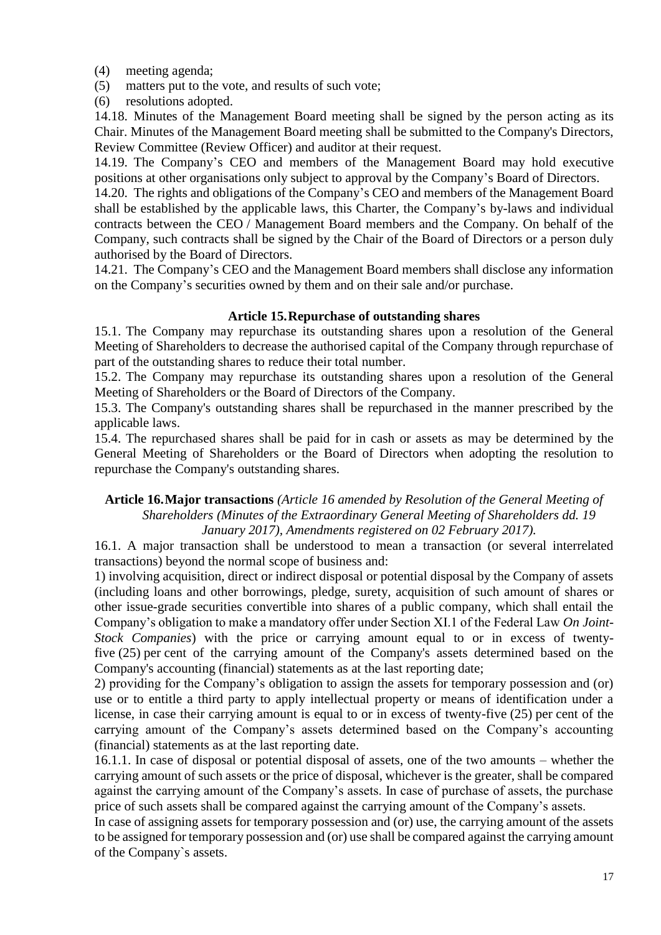- (4) meeting agenda;
- (5) matters put to the vote, and results of such vote;
- (6) resolutions adopted.

14.18. Minutes of the Management Board meeting shall be signed by the person acting as its Chair. Minutes of the Management Board meeting shall be submitted to the Company's Directors, Review Committee (Review Officer) and auditor at their request.

14.19. The Company's CEO and members of the Management Board may hold executive positions at other organisations only subject to approval by the Company's Board of Directors.

14.20. The rights and obligations of the Company's CEO and members of the Management Board shall be established by the applicable laws, this Charter, the Company's by-laws and individual contracts between the CEO / Management Board members and the Company. On behalf of the Company, such contracts shall be signed by the Chair of the Board of Directors or a person duly authorised by the Board of Directors.

14.21. The Company's CEO and the Management Board members shall disclose any information on the Company's securities owned by them and on their sale and/or purchase.

### **Article 15.Repurchase of outstanding shares**

15.1. The Company may repurchase its outstanding shares upon a resolution of the General Meeting of Shareholders to decrease the authorised capital of the Company through repurchase of part of the outstanding shares to reduce their total number.

15.2. The Company may repurchase its outstanding shares upon a resolution of the General Meeting of Shareholders or the Board of Directors of the Company.

15.3. The Company's outstanding shares shall be repurchased in the manner prescribed by the applicable laws.

15.4. The repurchased shares shall be paid for in cash or assets as may be determined by the General Meeting of Shareholders or the Board of Directors when adopting the resolution to repurchase the Company's outstanding shares.

#### **Article 16.Major transactions** *(Article 16 amended by Resolution of the General Meeting of Shareholders (Minutes of the Extraordinary General Meeting of Shareholders dd. 19 January 2017), Amendments registered on 02 February 2017).*

16.1. A major transaction shall be understood to mean a transaction (or several interrelated transactions) beyond the normal scope of business and:

1) involving acquisition, direct or indirect disposal or potential disposal by the Company of assets (including loans and other borrowings, pledge, surety, acquisition of such amount of shares or other issue-grade securities convertible into shares of a public company, which shall entail the Company's obligation to make a mandatory offer under Section XI.1 of the Federal Law *On Joint-Stock Companies*) with the price or carrying amount equal to or in excess of twentyfive (25) per cent of the carrying amount of the Company's assets determined based on the Company's accounting (financial) statements as at the last reporting date;

2) providing for the Company's obligation to assign the assets for temporary possession and (or) use or to entitle a third party to apply intellectual property or means of identification under a license, in case their carrying amount is equal to or in excess of twenty-five (25) per cent of the carrying amount of the Company's assets determined based on the Company's accounting (financial) statements as at the last reporting date.

16.1.1. In case of disposal or potential disposal of assets, one of the two amounts – whether the carrying amount of such assets or the price of disposal, whichever is the greater, shall be compared against the carrying amount of the Company's assets. In case of purchase of assets, the purchase price of such assets shall be compared against the carrying amount of the Company's assets.

In case of assigning assets for temporary possession and (or) use, the carrying amount of the assets to be assigned for temporary possession and (or) use shall be compared against the carrying amount of the Company`s assets.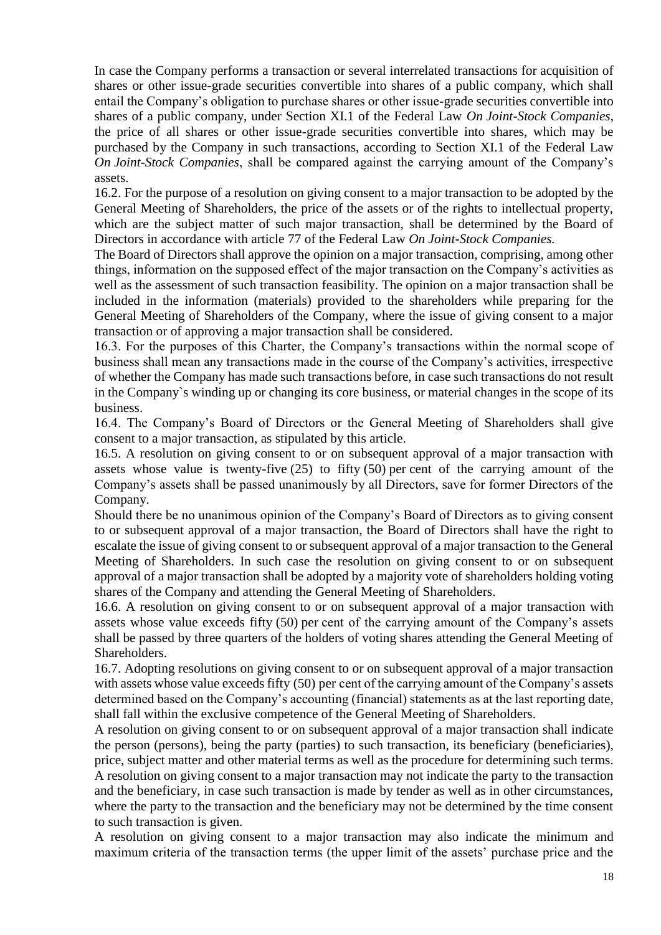In case the Company performs a transaction or several interrelated transactions for acquisition of shares or other issue-grade securities convertible into shares of a public company, which shall entail the Company's obligation to purchase shares or other issue-grade securities convertible into shares of a public company, under Section XI.1 of the Federal Law *On Joint-Stock Companies*, the price of all shares or other issue-grade securities convertible into shares, which may be purchased by the Company in such transactions, according to Section XI.1 of the Federal Law *On Joint-Stock Companies*, shall be compared against the carrying amount of the Company's assets.

16.2. For the purpose of a resolution on giving consent to a major transaction to be adopted by the General Meeting of Shareholders, the price of the assets or of the rights to intellectual property, which are the subject matter of such major transaction, shall be determined by the Board of Directors in accordance with article 77 of the Federal Law *On Joint-Stock Companies.*

The Board of Directors shall approve the opinion on a major transaction, comprising, among other things, information on the supposed effect of the major transaction on the Company's activities as well as the assessment of such transaction feasibility. The opinion on a major transaction shall be included in the information (materials) provided to the shareholders while preparing for the General Meeting of Shareholders of the Company, where the issue of giving consent to a major transaction or of approving a major transaction shall be considered.

16.3. For the purposes of this Charter, the Company's transactions within the normal scope of business shall mean any transactions made in the course of the Company's activities, irrespective of whether the Company has made such transactions before, in case such transactions do not result in the Company`s winding up or changing its core business, or material changes in the scope of its business.

16.4. The Company's Board of Directors or the General Meeting of Shareholders shall give consent to a major transaction, as stipulated by this article.

16.5. A resolution on giving consent to or on subsequent approval of a major transaction with assets whose value is twenty-five  $(25)$  to fifty  $(50)$  per cent of the carrying amount of the Company's assets shall be passed unanimously by all Directors, save for former Directors of the Company.

Should there be no unanimous opinion of the Company's Board of Directors as to giving consent to or subsequent approval of a major transaction, the Board of Directors shall have the right to escalate the issue of giving consent to or subsequent approval of a major transaction to the General Meeting of Shareholders. In such case the resolution on giving consent to or on subsequent approval of a major transaction shall be adopted by a majority vote of shareholders holding voting shares of the Company and attending the General Meeting of Shareholders.

16.6. A resolution on giving consent to or on subsequent approval of a major transaction with assets whose value exceeds fifty (50) per cent of the carrying amount of the Company's assets shall be passed by three quarters of the holders of voting shares attending the General Meeting of Shareholders.

16.7. Adopting resolutions on giving consent to or on subsequent approval of a major transaction with assets whose value exceeds fifty (50) per cent of the carrying amount of the Company's assets determined based on the Company's accounting (financial) statements as at the last reporting date, shall fall within the exclusive competence of the General Meeting of Shareholders.

A resolution on giving consent to or on subsequent approval of a major transaction shall indicate the person (persons), being the party (parties) to such transaction, its beneficiary (beneficiaries), price, subject matter and other material terms as well as the procedure for determining such terms. A resolution on giving consent to a major transaction may not indicate the party to the transaction and the beneficiary, in case such transaction is made by tender as well as in other circumstances, where the party to the transaction and the beneficiary may not be determined by the time consent to such transaction is given.

A resolution on giving consent to a major transaction may also indicate the minimum and maximum criteria of the transaction terms (the upper limit of the assets' purchase price and the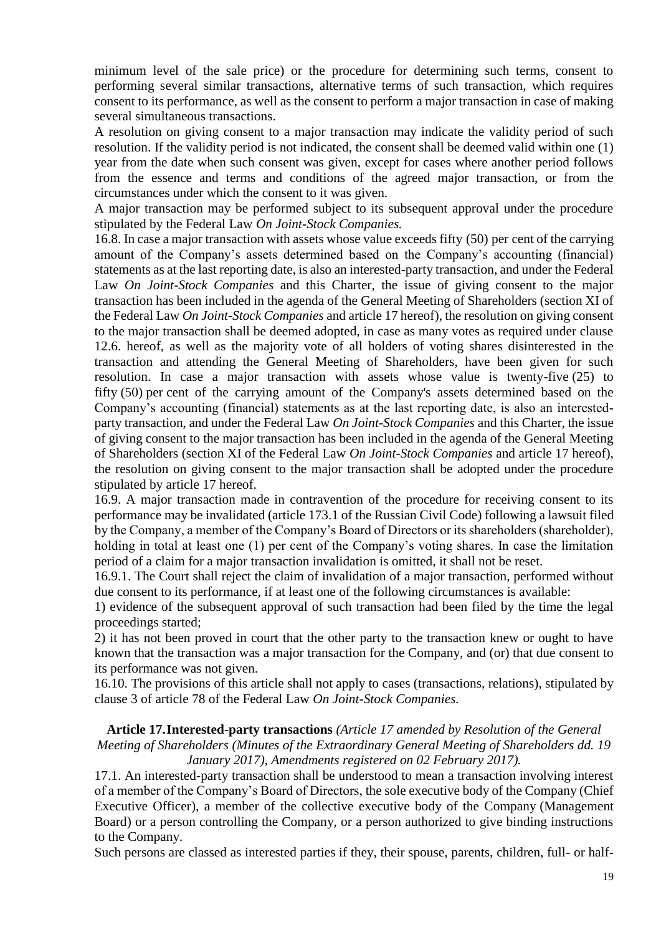minimum level of the sale price) or the procedure for determining such terms, consent to performing several similar transactions, alternative terms of such transaction, which requires consent to its performance, as well as the consent to perform a major transaction in case of making several simultaneous transactions.

A resolution on giving consent to a major transaction may indicate the validity period of such resolution. If the validity period is not indicated, the consent shall be deemed valid within one (1) year from the date when such consent was given, except for cases where another period follows from the essence and terms and conditions of the agreed major transaction, or from the circumstances under which the consent to it was given.

A major transaction may be performed subject to its subsequent approval under the procedure stipulated by the Federal Law *On Joint-Stock Companies.*

16.8. In case a major transaction with assets whose value exceeds fifty (50) per cent of the carrying amount of the Company's assets determined based on the Company's accounting (financial) statements as at the last reporting date, is also an interested-party transaction, and under the Federal Law *On Joint-Stock Companies* and this Charter, the issue of giving consent to the major transaction has been included in the agenda of the General Meeting of Shareholders (section XI of the Federal Law *On Joint-Stock Companies* and article 17 hereof), the resolution on giving consent to the major transaction shall be deemed adopted, in case as many votes as required under clause 12.6. hereof, as well as the majority vote of all holders of voting shares disinterested in the transaction and attending the General Meeting of Shareholders, have been given for such resolution. In case a major transaction with assets whose value is twenty-five (25) to fifty (50) per cent of the carrying amount of the Company's assets determined based on the Company's accounting (financial) statements as at the last reporting date, is also an interestedparty transaction, and under the Federal Law *On Joint-Stock Companies* and this Charter, the issue of giving consent to the major transaction has been included in the agenda of the General Meeting of Shareholders (section XI of the Federal Law *On Joint-Stock Companies* and article 17 hereof), the resolution on giving consent to the major transaction shall be adopted under the procedure stipulated by article 17 hereof.

16.9. A major transaction made in contravention of the procedure for receiving consent to its performance may be invalidated (article 173.1 of the Russian Civil Code) following a lawsuit filed by the Company, a member of the Company's Board of Directors or its shareholders (shareholder), holding in total at least one (1) per cent of the Company's voting shares. In case the limitation period of a claim for a major transaction invalidation is omitted, it shall not be reset.

16.9.1. The Court shall reject the claim of invalidation of a major transaction, performed without due consent to its performance, if at least one of the following circumstances is available:

1) evidence of the subsequent approval of such transaction had been filed by the time the legal proceedings started;

2) it has not been proved in court that the other party to the transaction knew or ought to have known that the transaction was a major transaction for the Company, and (or) that due consent to its performance was not given.

16.10. The provisions of this article shall not apply to cases (transactions, relations), stipulated by clause 3 of article 78 of the Federal Law *On Joint-Stock Companies.*

#### **Article 17.Interested-party transactions** *(Article 17 amended by Resolution of the General Meeting of Shareholders (Minutes of the Extraordinary General Meeting of Shareholders dd. 19 January 2017), Amendments registered on 02 February 2017).*

17.1. An interested-party transaction shall be understood to mean a transaction involving interest of a member of the Company's Board of Directors, the sole executive body of the Company (Chief Executive Officer), a member of the collective executive body of the Company (Management Board) or a person controlling the Company, or a person authorized to give binding instructions to the Company.

Such persons are classed as interested parties if they, their spouse, parents, children, full- or half-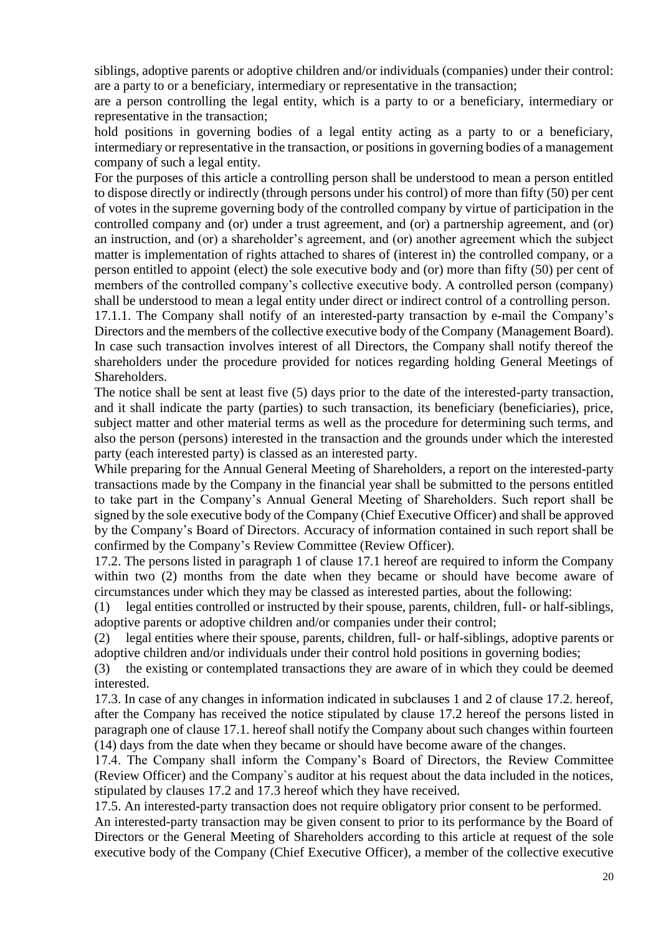siblings, adoptive parents or adoptive children and/or individuals (companies) under their control: are a party to or a beneficiary, intermediary or representative in the transaction;

are a person controlling the legal entity, which is a party to or a beneficiary, intermediary or representative in the transaction;

hold positions in governing bodies of a legal entity acting as a party to or a beneficiary, intermediary or representative in the transaction, or positions in governing bodies of a management company of such a legal entity.

For the purposes of this article a controlling person shall be understood to mean a person entitled to dispose directly or indirectly (through persons under his control) of more than fifty (50) per cent of votes in the supreme governing body of the controlled company by virtue of participation in the controlled company and (or) under a trust agreement, and (or) a partnership agreement, and (or) an instruction, and (or) a shareholder's agreement, and (or) another agreement which the subject matter is implementation of rights attached to shares of (interest in) the controlled company, or a person entitled to appoint (elect) the sole executive body and (or) more than fifty (50) per cent of members of the controlled company's collective executive body. A controlled person (company) shall be understood to mean a legal entity under direct or indirect control of a controlling person.

17.1.1. The Company shall notify of an interested-party transaction by e-mail the Company's Directors and the members of the collective executive body of the Company (Management Board). In case such transaction involves interest of all Directors, the Company shall notify thereof the shareholders under the procedure provided for notices regarding holding General Meetings of Shareholders.

The notice shall be sent at least five (5) days prior to the date of the interested-party transaction, and it shall indicate the party (parties) to such transaction, its beneficiary (beneficiaries), price, subject matter and other material terms as well as the procedure for determining such terms, and also the person (persons) interested in the transaction and the grounds under which the interested party (each interested party) is classed as an interested party.

While preparing for the Annual General Meeting of Shareholders, a report on the interested-party transactions made by the Company in the financial year shall be submitted to the persons entitled to take part in the Company's Annual General Meeting of Shareholders. Such report shall be signed by the sole executive body of the Company (Chief Executive Officer) and shall be approved by the Company's Board of Directors. Accuracy of information contained in such report shall be confirmed by the Company's Review Committee (Review Officer).

17.2. The persons listed in paragraph 1 of clause 17.1 hereof are required to inform the Company within two (2) months from the date when they became or should have become aware of circumstances under which they may be classed as interested parties, about the following:

(1) legal entities controlled or instructed by their spouse, parents, children, full- or half-siblings, adoptive parents or adoptive children and/or companies under their control;

(2) legal entities where their spouse, parents, children, full- or half-siblings, adoptive parents or adoptive children and/or individuals under their control hold positions in governing bodies;

(3) the existing or contemplated transactions they are aware of in which they could be deemed interested.

17.3. In case of any changes in information indicated in subclauses 1 and 2 of clause 17.2. hereof, after the Company has received the notice stipulated by clause 17.2 hereof the persons listed in paragraph one of clause 17.1. hereof shall notify the Company about such changes within fourteen (14) days from the date when they became or should have become aware of the changes.

17.4. The Company shall inform the Company's Board of Directors, the Review Committee (Review Officer) and the Company`s auditor at his request about the data included in the notices, stipulated by clauses 17.2 and 17.3 hereof which they have received.

17.5. An interested-party transaction does not require obligatory prior consent to be performed.

An interested-party transaction may be given consent to prior to its performance by the Board of Directors or the General Meeting of Shareholders according to this article at request of the sole executive body of the Company (Chief Executive Officer), a member of the collective executive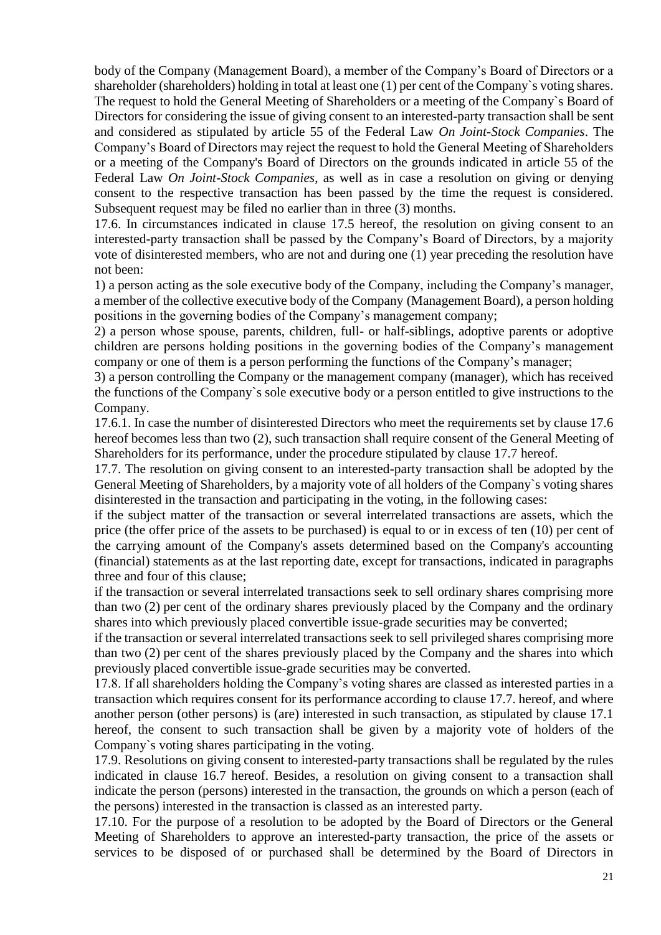body of the Company (Management Board), a member of the Company's Board of Directors or a shareholder (shareholders) holding in total at least one (1) per cent of the Company`s voting shares. The request to hold the General Meeting of Shareholders or a meeting of the Company`s Board of Directors for considering the issue of giving consent to an interested-party transaction shall be sent and considered as stipulated by article 55 of the Federal Law *On Joint-Stock Companies*. The Company's Board of Directors may reject the request to hold the General Meeting of Shareholders or a meeting of the Company's Board of Directors on the grounds indicated in article 55 of the Federal Law *On Joint-Stock Companies*, as well as in case a resolution on giving or denying consent to the respective transaction has been passed by the time the request is considered. Subsequent request may be filed no earlier than in three (3) months.

17.6. In circumstances indicated in clause 17.5 hereof, the resolution on giving consent to an interested-party transaction shall be passed by the Company's Board of Directors, by a majority vote of disinterested members, who are not and during one (1) year preceding the resolution have not been:

1) a person acting as the sole executive body of the Company, including the Company's manager, a member of the collective executive body of the Company (Management Board), a person holding positions in the governing bodies of the Company's management company;

2) a person whose spouse, parents, children, full- or half-siblings, adoptive parents or adoptive children are persons holding positions in the governing bodies of the Company's management company or one of them is a person performing the functions of the Company's manager;

3) a person controlling the Company or the management company (manager), which has received the functions of the Company`s sole executive body or a person entitled to give instructions to the Company.

17.6.1. In case the number of disinterested Directors who meet the requirements set by clause 17.6 hereof becomes less than two (2), such transaction shall require consent of the General Meeting of Shareholders for its performance, under the procedure stipulated by clause 17.7 hereof.

17.7. The resolution on giving consent to an interested-party transaction shall be adopted by the General Meeting of Shareholders, by a majority vote of all holders of the Company`s voting shares disinterested in the transaction and participating in the voting, in the following cases:

if the subject matter of the transaction or several interrelated transactions are assets, which the price (the offer price of the assets to be purchased) is equal to or in excess of ten (10) per cent of the carrying amount of the Company's assets determined based on the Company's accounting (financial) statements as at the last reporting date, except for transactions, indicated in paragraphs three and four of this clause;

if the transaction or several interrelated transactions seek to sell ordinary shares comprising more than two (2) per cent of the ordinary shares previously placed by the Company and the ordinary shares into which previously placed convertible issue-grade securities may be converted;

if the transaction or several interrelated transactions seek to sell privileged shares comprising more than two (2) per cent of the shares previously placed by the Company and the shares into which previously placed convertible issue-grade securities may be converted.

17.8. If all shareholders holding the Company's voting shares are classed as interested parties in a transaction which requires consent for its performance according to clause 17.7. hereof, and where another person (other persons) is (are) interested in such transaction, as stipulated by clause 17.1 hereof, the consent to such transaction shall be given by a majority vote of holders of the Company`s voting shares participating in the voting.

17.9. Resolutions on giving consent to interested-party transactions shall be regulated by the rules indicated in clause 16.7 hereof. Besides, a resolution on giving consent to a transaction shall indicate the person (persons) interested in the transaction, the grounds on which a person (each of the persons) interested in the transaction is classed as an interested party.

17.10. For the purpose of a resolution to be adopted by the Board of Directors or the General Meeting of Shareholders to approve an interested-party transaction, the price of the assets or services to be disposed of or purchased shall be determined by the Board of Directors in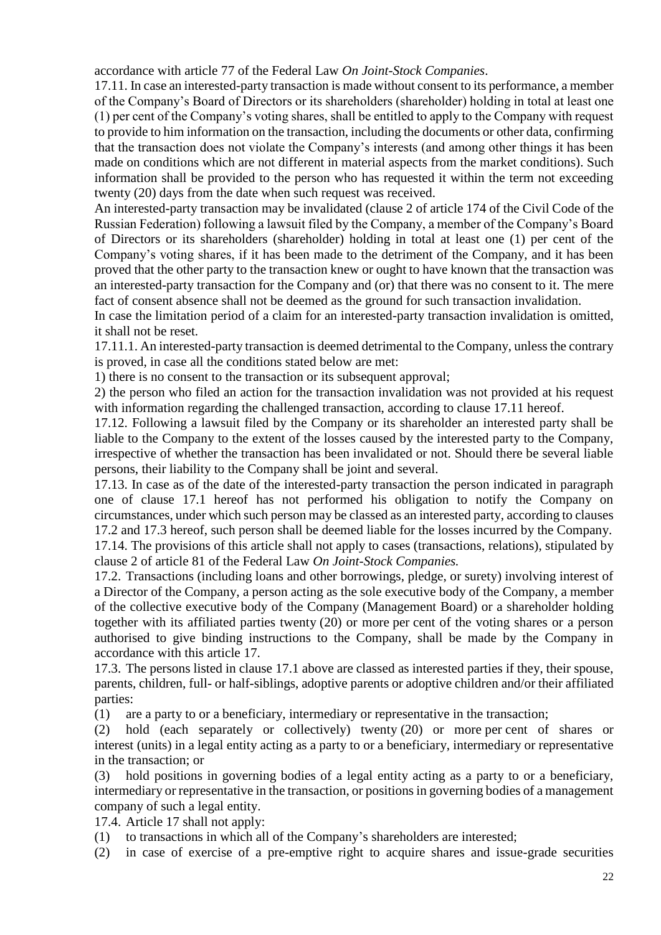accordance with article 77 of the Federal Law *On Joint-Stock Companies*.

17.11. In case an interested-party transaction is made without consent to its performance, a member of the Company's Board of Directors or its shareholders (shareholder) holding in total at least one (1) per cent of the Company's voting shares, shall be entitled to apply to the Company with request to provide to him information on the transaction, including the documents or other data, confirming that the transaction does not violate the Company's interests (and among other things it has been made on conditions which are not different in material aspects from the market conditions). Such information shall be provided to the person who has requested it within the term not exceeding twenty (20) days from the date when such request was received.

An interested-party transaction may be invalidated (clause 2 of article 174 of the Civil Code of the Russian Federation) following a lawsuit filed by the Company, a member of the Company's Board of Directors or its shareholders (shareholder) holding in total at least one (1) per cent of the Company's voting shares, if it has been made to the detriment of the Company, and it has been proved that the other party to the transaction knew or ought to have known that the transaction was an interested-party transaction for the Company and (or) that there was no consent to it. The mere fact of consent absence shall not be deemed as the ground for such transaction invalidation.

In case the limitation period of a claim for an interested-party transaction invalidation is omitted, it shall not be reset.

17.11.1. An interested-party transaction is deemed detrimental to the Company, unless the contrary is proved, in case all the conditions stated below are met:

1) there is no consent to the transaction or its subsequent approval;

2) the person who filed an action for the transaction invalidation was not provided at his request with information regarding the challenged transaction, according to clause 17.11 hereof.

17.12. Following a lawsuit filed by the Company or its shareholder an interested party shall be liable to the Company to the extent of the losses caused by the interested party to the Company, irrespective of whether the transaction has been invalidated or not. Should there be several liable persons, their liability to the Company shall be joint and several.

17.13. In case as of the date of the interested-party transaction the person indicated in paragraph one of clause 17.1 hereof has not performed his obligation to notify the Company on circumstances, under which such person may be classed as an interested party, according to clauses 17.2 and 17.3 hereof, such person shall be deemed liable for the losses incurred by the Company.

17.14. The provisions of this article shall not apply to cases (transactions, relations), stipulated by clause 2 of article 81 of the Federal Law *On Joint-Stock Companies.*

17.2. Transactions (including loans and other borrowings, pledge, or surety) involving interest of a Director of the Company, a person acting as the sole executive body of the Company, a member of the collective executive body of the Company (Management Board) or a shareholder holding together with its affiliated parties twenty (20) or more per cent of the voting shares or a person authorised to give binding instructions to the Company, shall be made by the Company in accordance with this article 17.

17.3. The persons listed in clause 17.1 above are classed as interested parties if they, their spouse, parents, children, full- or half-siblings, adoptive parents or adoptive children and/or their affiliated parties:

(1) are a party to or a beneficiary, intermediary or representative in the transaction;

(2) hold (each separately or collectively) twenty (20) or more per cent of shares or interest (units) in a legal entity acting as a party to or a beneficiary, intermediary or representative in the transaction; or

(3) hold positions in governing bodies of a legal entity acting as a party to or a beneficiary, intermediary or representative in the transaction, or positions in governing bodies of a management company of such a legal entity.

17.4. Article 17 shall not apply:

(1) to transactions in which all of the Company's shareholders are interested;

(2) in case of exercise of a pre-emptive right to acquire shares and issue-grade securities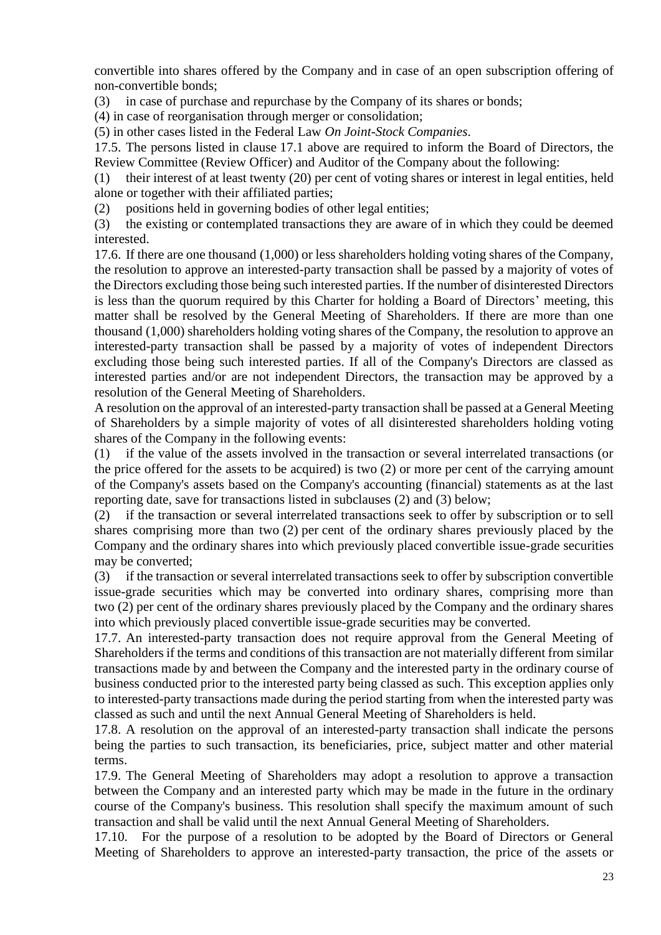convertible into shares offered by the Company and in case of an open subscription offering of non-convertible bonds;

(3) in case of purchase and repurchase by the Company of its shares or bonds;

(4) in case of reorganisation through merger or consolidation;

(5) in other cases listed in the Federal Law *On Joint-Stock Companies*.

17.5. The persons listed in clause 17.1 above are required to inform the Board of Directors, the Review Committee (Review Officer) and Auditor of the Company about the following:

(1) their interest of at least twenty (20) per cent of voting shares or interest in legal entities, held alone or together with their affiliated parties;

(2) positions held in governing bodies of other legal entities;

(3) the existing or contemplated transactions they are aware of in which they could be deemed interested.

17.6. If there are one thousand (1,000) or less shareholders holding voting shares of the Company, the resolution to approve an interested-party transaction shall be passed by a majority of votes of the Directors excluding those being such interested parties. If the number of disinterested Directors is less than the quorum required by this Charter for holding a Board of Directors' meeting, this matter shall be resolved by the General Meeting of Shareholders. If there are more than one thousand (1,000) shareholders holding voting shares of the Company, the resolution to approve an interested-party transaction shall be passed by a majority of votes of independent Directors excluding those being such interested parties. If all of the Company's Directors are classed as interested parties and/or are not independent Directors, the transaction may be approved by a resolution of the General Meeting of Shareholders.

A resolution on the approval of an interested-party transaction shall be passed at a General Meeting of Shareholders by a simple majority of votes of all disinterested shareholders holding voting shares of the Company in the following events:

(1) if the value of the assets involved in the transaction or several interrelated transactions (or the price offered for the assets to be acquired) is two (2) or more per cent of the carrying amount of the Company's assets based on the Company's accounting (financial) statements as at the last reporting date, save for transactions listed in subclauses (2) and (3) below;

(2) if the transaction or several interrelated transactions seek to offer by subscription or to sell shares comprising more than two (2) per cent of the ordinary shares previously placed by the Company and the ordinary shares into which previously placed convertible issue-grade securities may be converted;

(3) if the transaction or several interrelated transactions seek to offer by subscription convertible issue-grade securities which may be converted into ordinary shares, comprising more than two (2) per cent of the ordinary shares previously placed by the Company and the ordinary shares into which previously placed convertible issue-grade securities may be converted.

17.7. An interested-party transaction does not require approval from the General Meeting of Shareholders if the terms and conditions of this transaction are not materially different from similar transactions made by and between the Company and the interested party in the ordinary course of business conducted prior to the interested party being classed as such. This exception applies only to interested-party transactions made during the period starting from when the interested party was classed as such and until the next Annual General Meeting of Shareholders is held.

17.8. A resolution on the approval of an interested-party transaction shall indicate the persons being the parties to such transaction, its beneficiaries, price, subject matter and other material terms.

17.9. The General Meeting of Shareholders may adopt a resolution to approve a transaction between the Company and an interested party which may be made in the future in the ordinary course of the Company's business. This resolution shall specify the maximum amount of such transaction and shall be valid until the next Annual General Meeting of Shareholders.

17.10. For the purpose of a resolution to be adopted by the Board of Directors or General Meeting of Shareholders to approve an interested-party transaction, the price of the assets or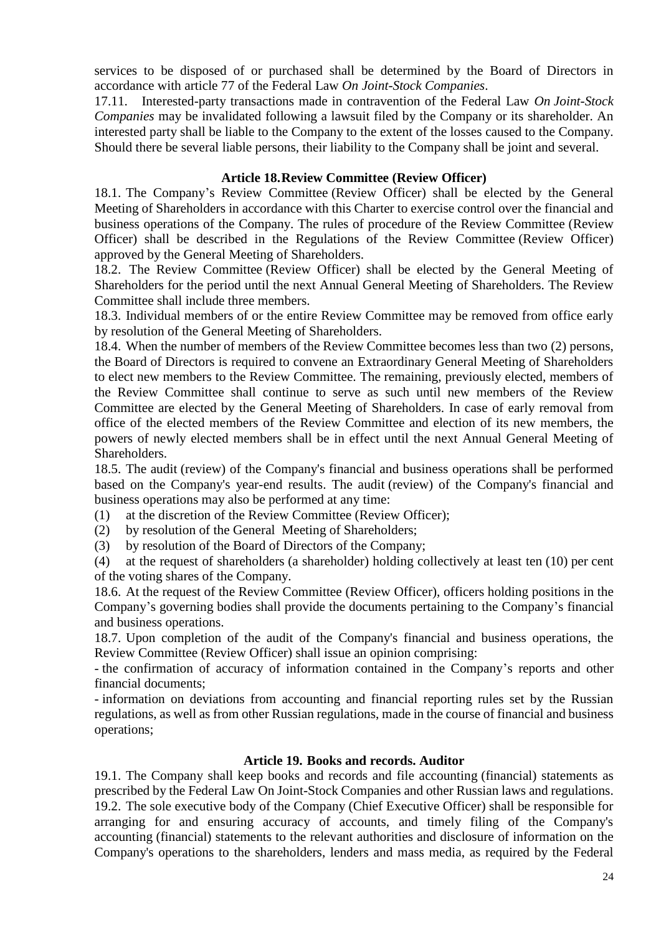services to be disposed of or purchased shall be determined by the Board of Directors in accordance with article 77 of the Federal Law *On Joint-Stock Companies*.

17.11. Interested-party transactions made in contravention of the Federal Law *On Joint-Stock Companies* may be invalidated following a lawsuit filed by the Company or its shareholder. An interested party shall be liable to the Company to the extent of the losses caused to the Company. Should there be several liable persons, their liability to the Company shall be joint and several.

## **Article 18.Review Committee (Review Officer)**

18.1. The Company's Review Committee (Review Officer) shall be elected by the General Meeting of Shareholders in accordance with this Charter to exercise control over the financial and business operations of the Company. The rules of procedure of the Review Committee (Review Officer) shall be described in the Regulations of the Review Committee (Review Officer) approved by the General Meeting of Shareholders.

18.2. The Review Committee (Review Officer) shall be elected by the General Meeting of Shareholders for the period until the next Annual General Meeting of Shareholders. The Review Committee shall include three members.

18.3. Individual members of or the entire Review Committee may be removed from office early by resolution of the General Meeting of Shareholders.

18.4. When the number of members of the Review Committee becomes less than two (2) persons, the Board of Directors is required to convene an Extraordinary General Meeting of Shareholders to elect new members to the Review Committee. The remaining, previously elected, members of the Review Committee shall continue to serve as such until new members of the Review Committee are elected by the General Meeting of Shareholders. In case of early removal from office of the elected members of the Review Committee and election of its new members, the powers of newly elected members shall be in effect until the next Annual General Meeting of Shareholders.

18.5. The audit (review) of the Company's financial and business operations shall be performed based on the Company's year-end results. The audit (review) of the Company's financial and business operations may also be performed at any time:

(1) at the discretion of the Review Committee (Review Officer);

- (2) by resolution of the General Meeting of Shareholders;
- (3) by resolution of the Board of Directors of the Company;

(4) at the request of shareholders (a shareholder) holding collectively at least ten (10) per cent of the voting shares of the Company.

18.6. At the request of the Review Committee (Review Officer), officers holding positions in the Company's governing bodies shall provide the documents pertaining to the Company's financial and business operations.

18.7. Upon completion of the audit of the Company's financial and business operations, the Review Committee (Review Officer) shall issue an opinion comprising:

- the confirmation of accuracy of information contained in the Company's reports and other financial documents;

- information on deviations from accounting and financial reporting rules set by the Russian regulations, as well as from other Russian regulations, made in the course of financial and business operations;

#### **Article 19. Books and records. Auditor**

19.1. The Company shall keep books and records and file accounting (financial) statements as prescribed by the Federal Law On Joint-Stock Companies and other Russian laws and regulations. 19.2. The sole executive body of the Company (Chief Executive Officer) shall be responsible for arranging for and ensuring accuracy of accounts, and timely filing of the Company's accounting (financial) statements to the relevant authorities and disclosure of information on the Company's operations to the shareholders, lenders and mass media, as required by the Federal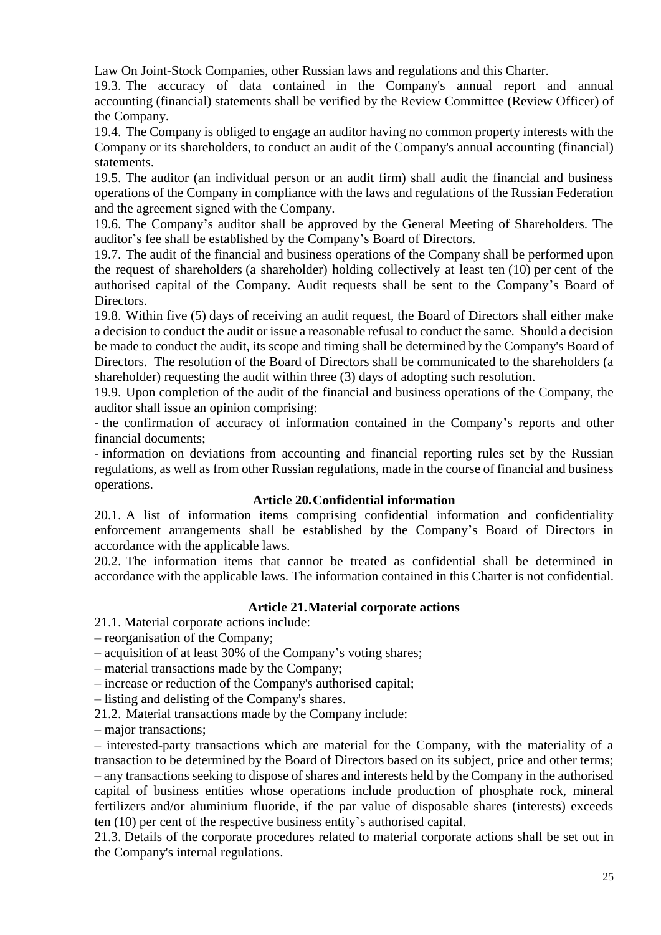Law On Joint-Stock Companies, other Russian laws and regulations and this Charter.

19.3. The accuracy of data contained in the Company's annual report and annual accounting (financial) statements shall be verified by the Review Committee (Review Officer) of the Company.

19.4. The Company is obliged to engage an auditor having no common property interests with the Company or its shareholders, to conduct an audit of the Company's annual accounting (financial) statements.

19.5. The auditor (an individual person or an audit firm) shall audit the financial and business operations of the Company in compliance with the laws and regulations of the Russian Federation and the agreement signed with the Company.

19.6. The Company's auditor shall be approved by the General Meeting of Shareholders. The auditor's fee shall be established by the Company's Board of Directors.

19.7. The audit of the financial and business operations of the Company shall be performed upon the request of shareholders (a shareholder) holding collectively at least ten (10) per cent of the authorised capital of the Company. Audit requests shall be sent to the Company's Board of Directors.

19.8. Within five (5) days of receiving an audit request, the Board of Directors shall either make a decision to conduct the audit or issue a reasonable refusal to conduct the same. Should a decision be made to conduct the audit, its scope and timing shall be determined by the Company's Board of Directors. The resolution of the Board of Directors shall be communicated to the shareholders (a shareholder) requesting the audit within three (3) days of adopting such resolution.

19.9. Upon completion of the audit of the financial and business operations of the Company, the auditor shall issue an opinion comprising:

- the confirmation of accuracy of information contained in the Company's reports and other financial documents;

- information on deviations from accounting and financial reporting rules set by the Russian regulations, as well as from other Russian regulations, made in the course of financial and business operations.

# **Article 20.Confidential information**

20.1. A list of information items comprising confidential information and confidentiality enforcement arrangements shall be established by the Company's Board of Directors in accordance with the applicable laws.

20.2. The information items that cannot be treated as confidential shall be determined in accordance with the applicable laws. The information contained in this Charter is not confidential.

# **Article 21.Material corporate actions**

21.1. Material corporate actions include:

– reorganisation of the Company;

– acquisition of at least 30% of the Company's voting shares;

– material transactions made by the Company;

– increase or reduction of the Company's authorised capital;

– listing and delisting of the Company's shares.

21.2. Material transactions made by the Company include:

– major transactions;

– interested-party transactions which are material for the Company, with the materiality of a transaction to be determined by the Board of Directors based on its subject, price and other terms; – any transactions seeking to dispose of shares and interests held by the Company in the authorised capital of business entities whose operations include production of phosphate rock, mineral fertilizers and/or aluminium fluoride, if the par value of disposable shares (interests) exceeds ten (10) per cent of the respective business entity's authorised capital.

21.3. Details of the corporate procedures related to material corporate actions shall be set out in the Company's internal regulations.